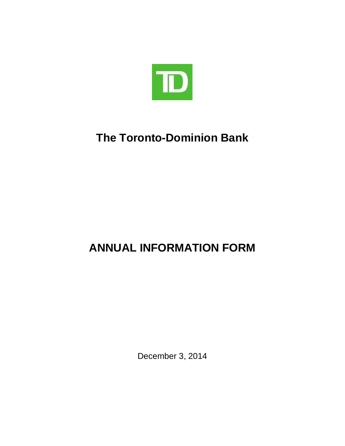

# **The Toronto-Dominion Bank**

# **ANNUAL INFORMATION FORM**

<span id="page-0-0"></span>December 3, 2014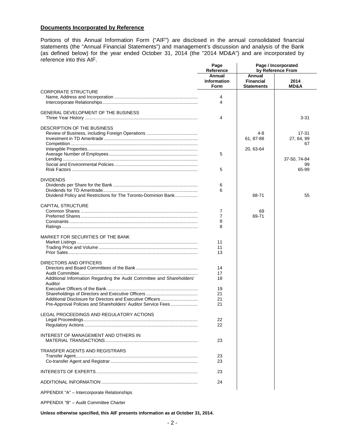## **Documents Incorporated by Reference**

Portions of this Annual Information Form ("AIF") are disclosed in the annual consolidated financial statements (the "Annual Financial Statements") and management's discussion and analysis of the Bank (as defined below) for the year ended October 31, 2014 (the "2014 MD&A") and are incorporated by reference into this AIF. **Page Page / Incorporated**

|                                                                                   | Page<br>Reference                    | Page / Incorporated<br>by Reference From        |                         |  |
|-----------------------------------------------------------------------------------|--------------------------------------|-------------------------------------------------|-------------------------|--|
|                                                                                   | Annual<br><b>Information</b><br>Form | Annual<br><b>Financial</b><br><b>Statements</b> | 2014<br><b>MD&amp;A</b> |  |
| <b>CORPORATE STRUCTURE</b>                                                        |                                      |                                                 |                         |  |
|                                                                                   | 4                                    |                                                 |                         |  |
|                                                                                   | 4                                    |                                                 |                         |  |
| GENERAL DEVELOPMENT OF THE BUSINESS                                               | 4                                    |                                                 | $3 - 31$                |  |
| DESCRIPTION OF THE BUSINESS                                                       |                                      |                                                 |                         |  |
|                                                                                   |                                      | $4 - 8$                                         | 17-31                   |  |
|                                                                                   |                                      | 61, 87-88                                       | 27, 64, 99              |  |
|                                                                                   |                                      |                                                 | 67                      |  |
|                                                                                   |                                      | 20, 63-64                                       |                         |  |
|                                                                                   | 5                                    |                                                 |                         |  |
|                                                                                   |                                      |                                                 | 37-50, 74-84            |  |
|                                                                                   |                                      |                                                 | 99                      |  |
|                                                                                   | 5                                    |                                                 | 65-99                   |  |
| <b>DIVIDENDS</b>                                                                  |                                      |                                                 |                         |  |
|                                                                                   | 6                                    |                                                 |                         |  |
|                                                                                   | 6                                    |                                                 |                         |  |
| Dividend Policy and Restrictions for The Toronto-Dominion Bank                    |                                      | 68-71                                           | 55                      |  |
| <b>CAPITAL STRUCTURE</b>                                                          |                                      |                                                 |                         |  |
|                                                                                   | 7                                    | 69                                              |                         |  |
|                                                                                   | $\overline{7}$                       | 69-71                                           |                         |  |
|                                                                                   | 8                                    |                                                 |                         |  |
|                                                                                   | 8                                    |                                                 |                         |  |
| MARKET FOR SECURITIES OF THE BANK                                                 |                                      |                                                 |                         |  |
|                                                                                   | 11                                   |                                                 |                         |  |
|                                                                                   | 11                                   |                                                 |                         |  |
|                                                                                   | 13                                   |                                                 |                         |  |
| DIRECTORS AND OFFICERS                                                            |                                      |                                                 |                         |  |
|                                                                                   | 14                                   |                                                 |                         |  |
|                                                                                   | 17                                   |                                                 |                         |  |
| Additional Information Regarding the Audit Committee and Shareholders'<br>Auditor | 18                                   |                                                 |                         |  |
|                                                                                   | 19                                   |                                                 |                         |  |
|                                                                                   | 21                                   |                                                 |                         |  |
|                                                                                   | 21                                   |                                                 |                         |  |
| Pre-Approval Policies and Shareholders' Auditor Service Fees                      | 21                                   |                                                 |                         |  |
| LEGAL PROCEEDINGS AND REGULATORY ACTIONS                                          |                                      |                                                 |                         |  |
|                                                                                   | 22                                   |                                                 |                         |  |
|                                                                                   | 22                                   |                                                 |                         |  |
| <b>INTEREST OF MANAGEMENT AND OTHERS IN</b>                                       |                                      |                                                 |                         |  |
|                                                                                   | 23                                   |                                                 |                         |  |
|                                                                                   |                                      |                                                 |                         |  |
| <b>TRANSFER AGENTS AND REGISTRARS</b>                                             |                                      |                                                 |                         |  |
|                                                                                   | 23<br>23                             |                                                 |                         |  |
|                                                                                   |                                      |                                                 |                         |  |
|                                                                                   | 23                                   |                                                 |                         |  |
|                                                                                   | 24                                   |                                                 |                         |  |
| APPENDIX "A" - Intercorporate Relationships                                       |                                      |                                                 |                         |  |

APPENDIX "B" – Audit Committee Charter

**Unless otherwise specified, this AIF presents information as at October 31, 2014.**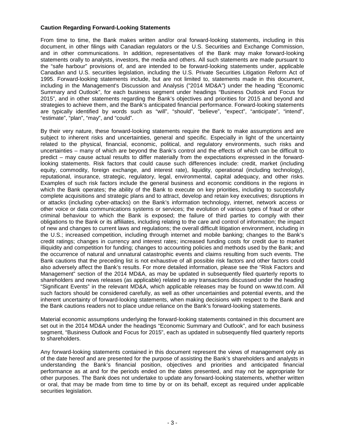## **Caution Regarding Forward-Looking Statements**

From time to time, the Bank makes written and/or oral forward-looking statements, including in this document, in other filings with Canadian regulators or the U.S. Securities and Exchange Commission, and in other communications. In addition, representatives of the Bank may make forward-looking statements orally to analysts, investors, the media and others. All such statements are made pursuant to the "safe harbour" provisions of, and are intended to be forward-looking statements under, applicable Canadian and U.S. securities legislation, including the U.S. Private Securities Litigation Reform Act of 1995. Forward-looking statements include, but are not limited to, statements made in this document, including in the Management's Discussion and Analysis ("2014 MD&A") under the heading "Economic Summary and Outlook", for each business segment under headings "Business Outlook and Focus for 2015", and in other statements regarding the Bank's objectives and priorities for 2015 and beyond and strategies to achieve them, and the Bank's anticipated financial performance. Forward-looking statements are typically identified by words such as "will", "should", "believe", "expect", "anticipate", "intend", "estimate", "plan", "may", and "could".

By their very nature, these forward-looking statements require the Bank to make assumptions and are subject to inherent risks and uncertainties, general and specific. Especially in light of the uncertainty related to the physical, financial, economic, political, and regulatory environments, such risks and uncertainties – many of which are beyond the Bank's control and the effects of which can be difficult to predict – may cause actual results to differ materially from the expectations expressed in the forwardlooking statements. Risk factors that could cause such differences include: credit, market (including equity, commodity, foreign exchange, and interest rate), liquidity, operational (including technology), reputational, insurance, strategic, regulatory, legal, environmental, capital adequacy, and other risks. Examples of such risk factors include the general business and economic conditions in the regions in which the Bank operates; the ability of the Bank to execute on key priorities, including to successfully complete acquisitions and strategic plans and to attract, develop and retain key executives; disruptions in or attacks (including cyber-attacks) on the Bank's information technology, internet, network access or other voice or data communications systems or services; the evolution of various types of fraud or other criminal behaviour to which the Bank is exposed; the failure of third parties to comply with their obligations to the Bank or its affiliates, including relating to the care and control of information; the impact of new and changes to current laws and regulations; the overall difficult litigation environment, including in the U.S.; increased competition, including through internet and mobile banking; changes to the Bank's credit ratings; changes in currency and interest rates; increased funding costs for credit due to market illiquidity and competition for funding; changes to accounting policies and methods used by the Bank; and the occurrence of natural and unnatural catastrophic events and claims resulting from such events. The Bank cautions that the preceding list is not exhaustive of all possible risk factors and other factors could also adversely affect the Bank's results. For more detailed information, please see the "Risk Factors and Management" section of the 2014 MD&A, as may be updated in subsequently filed quarterly reports to shareholders and news releases (as applicable) related to any transactions discussed under the heading "Significant Events" in the relevant MD&A, which applicable releases may be found on www.td.com. All such factors should be considered carefully, as well as other uncertainties and potential events, and the inherent uncertainty of forward-looking statements, when making decisions with respect to the Bank and the Bank cautions readers not to place undue reliance on the Bank's forward-looking statements.

Material economic assumptions underlying the forward-looking statements contained in this document are set out in the 2014 MD&A under the headings "Economic Summary and Outlook", and for each business segment, "Business Outlook and Focus for 2015", each as updated in subsequently filed quarterly reports to shareholders.

Any forward-looking statements contained in this document represent the views of management only as of the date hereof and are presented for the purpose of assisting the Bank's shareholders and analysts in understanding the Bank's financial position, objectives and priorities and anticipated financial performance as at and for the periods ended on the dates presented, and may not be appropriate for other purposes. The Bank does not undertake to update any forward-looking statements, whether written or oral, that may be made from time to time by or on its behalf, except as required under applicable securities legislation.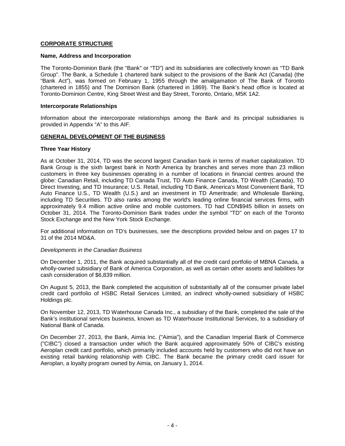## **CORPORATE STRUCTURE**

#### **Name, Address and Incorporation**

The Toronto-Dominion Bank (the "Bank" or "TD") and its subsidiaries are collectively known as "TD Bank Group". The Bank, a Schedule 1 chartered bank subject to the provisions of the Bank Act (Canada) (the "Bank Act"), was formed on February 1, 1955 through the amalgamation of The Bank of Toronto (chartered in 1855) and The Dominion Bank (chartered in 1869). The Bank's head office is located at Toronto-Dominion Centre, King Street West and Bay Street, Toronto, Ontario, M5K 1A2.

#### **Intercorporate Relationships**

Information about the intercorporate relationships among the Bank and its principal subsidiaries is provided in Appendix "A" to this AIF.

#### **GENERAL DEVELOPMENT OF THE BUSINESS**

#### **Three Year History**

As at October 31, 2014, TD was the second largest Canadian bank in terms of market capitalization. TD Bank Group is the sixth largest bank in North America by branches and serves more than 23 million customers in three key businesses operating in a number of locations in financial centres around the globe: Canadian Retail, including TD Canada Trust, TD Auto Finance Canada, TD Wealth (Canada), TD Direct Investing, and TD Insurance; U.S. Retail, including TD Bank, America's Most Convenient Bank, TD Auto Finance U.S., TD Wealth (U.S.) and an investment in TD Ameritrade; and Wholesale Banking, including TD Securities. TD also ranks among the world's leading online financial services firms, with approximately 9.4 million active online and mobile customers. TD had CDN\$945 billion in assets on October 31, 2014. The Toronto-Dominion Bank trades under the symbol "TD" on each of the Toronto Stock Exchange and the New York Stock Exchange.

For additional information on TD's businesses, see the descriptions provided below and on pages 17 to 31 of the 2014 MD&A.

#### *Developments in the Canadian Business*

On December 1, 2011, the Bank acquired substantially all of the credit card portfolio of MBNA Canada, a wholly-owned subsidiary of Bank of America Corporation, as well as certain other assets and liabilities for cash consideration of \$6,839 million.

On August 5, 2013, the Bank completed the acquisition of substantially all of the consumer private label credit card portfolio of HSBC Retail Services Limited, an indirect wholly-owned subsidiary of HSBC Holdings plc.

On November 12, 2013, TD Waterhouse Canada Inc., a subsidiary of the Bank, completed the sale of the Bank's institutional services business, known as TD Waterhouse Institutional Services, to a subsidiary of National Bank of Canada.

On December 27, 2013, the Bank, Aimia Inc. ("Aimia"), and the Canadian Imperial Bank of Commerce ("CIBC") closed a transaction under which the Bank acquired approximately 50% of CIBC's existing Aeroplan credit card portfolio, which primarily included accounts held by customers who did not have an existing retail banking relationship with CIBC. The Bank became the primary credit card issuer for Aeroplan, a loyalty program owned by Aimia, on January 1, 2014.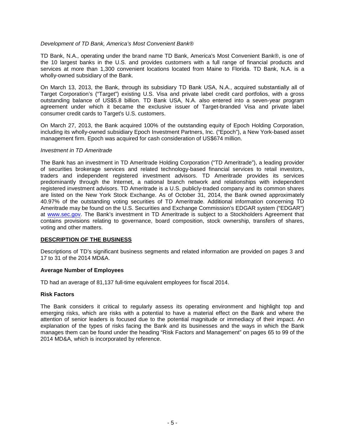## *Development of TD Bank, America's Most Convenient Bank®*

TD Bank, N.A., operating under the brand name TD Bank, America's Most Convenient Bank®, is one of the 10 largest banks in the U.S. and provides customers with a full range of financial products and services at more than 1,300 convenient locations located from Maine to Florida. TD Bank, N.A. is a wholly-owned subsidiary of the Bank.

On March 13, 2013, the Bank, through its subsidiary TD Bank USA, N.A., acquired substantially all of Target Corporation's ("Target") existing U.S. Visa and private label credit card portfolios, with a gross outstanding balance of US\$5.8 billion. TD Bank USA, N.A. also entered into a seven-year program agreement under which it became the exclusive issuer of Target-branded Visa and private label consumer credit cards to Target's U.S. customers.

On March 27, 2013, the Bank acquired 100% of the outstanding equity of Epoch Holding Corporation, including its wholly-owned subsidiary Epoch Investment Partners, Inc. ("Epoch"), a New York-based asset management firm. Epoch was acquired for cash consideration of US\$674 million.

#### *Investment in TD Ameritrade*

The Bank has an investment in TD Ameritrade Holding Corporation ("TD Ameritrade"), a leading provider of securities brokerage services and related technology-based financial services to retail investors, traders and independent registered investment advisors. TD Ameritrade provides its services predominantly through the Internet, a national branch network and relationships with independent registered investment advisors. TD Ameritrade is a U.S. publicly-traded company and its common shares are listed on the New York Stock Exchange. As of October 31, 2014, the Bank owned approximately 40.97% of the outstanding voting securities of TD Ameritrade. Additional information concerning TD Ameritrade may be found on the U.S. Securities and Exchange Commission's EDGAR system ("EDGAR") at [www.sec.gov.](http://www.sec.gov/) The Bank's investment in TD Ameritrade is subject to a Stockholders Agreement that contains provisions relating to governance, board composition, stock ownership, transfers of shares, voting and other matters.

# **DESCRIPTION OF THE BUSINESS**

Descriptions of TD's significant business segments and related information are provided on pages 3 and 17 to 31 of the 2014 MD&A.

#### **Average Number of Employees**

TD had an average of 81,137 full-time equivalent employees for fiscal 2014.

#### **Risk Factors**

The Bank considers it critical to regularly assess its operating environment and highlight top and emerging risks, which are risks with a potential to have a material effect on the Bank and where the attention of senior leaders is focused due to the potential magnitude or immediacy of their impact. An explanation of the types of risks facing the Bank and its businesses and the ways in which the Bank manages them can be found under the heading "Risk Factors and Management" on pages 65 to 99 of the 2014 MD&A, which is incorporated by reference.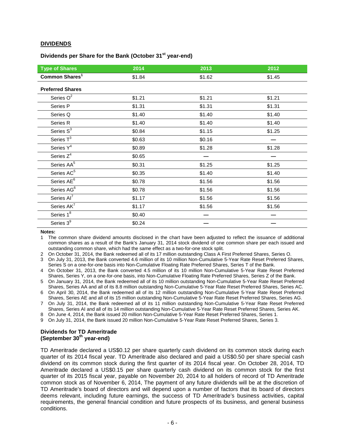## **DIVIDENDS**

# **Dividends per Share for the Bank (October 31st year-end)**

| <b>Type of Shares</b>      | 2014   | 2013   | 2012   |
|----------------------------|--------|--------|--------|
| Common Shares <sup>1</sup> | \$1.84 | \$1.62 | \$1.45 |
| <b>Preferred Shares</b>    |        |        |        |
| Series $O^2$               | \$1.21 | \$1.21 | \$1.21 |
| Series P                   | \$1.31 | \$1.31 | \$1.31 |
| Series Q                   | \$1.40 | \$1.40 | \$1.40 |
| Series R                   | \$1.40 | \$1.40 | \$1.40 |
| Series S <sup>3</sup>      | \$0.84 | \$1.15 | \$1.25 |
| Series $T^3$               | \$0.63 | \$0.16 |        |
| Series Y <sup>4</sup>      | \$0.89 | \$1.28 | \$1.28 |
| Series Z <sup>4</sup>      | \$0.65 |        |        |
| Series AA <sup>5</sup>     | \$0.31 | \$1.25 | \$1.25 |
| Series AC <sup>5</sup>     | \$0.35 | \$1.40 | \$1.40 |
| Series AE <sup>6</sup>     | \$0.78 | \$1.56 | \$1.56 |
| Series AG <sup>6</sup>     | \$0.78 | \$1.56 | \$1.56 |
| Series Al <sup>7</sup>     | \$1.17 | \$1.56 | \$1.56 |
| Series AK <sup>7</sup>     | \$1.17 | \$1.56 | \$1.56 |
| Series $1^{\overline{8}}$  | \$0.40 |        |        |
| Series 3 <sup>9</sup>      | \$0.24 |        |        |

**Notes:**

1 The common share dividend amounts disclosed in the chart have been adjusted to reflect the issuance of additional common shares as a result of the Bank's January 31, 2014 stock dividend of one common share per each issued and outstanding common share, which had the same effect as a two-for-one stock split.

2 On October 31, 2014, the Bank redeemed all of its 17 million outstanding Class A First Preferred Shares, Series O.

3 On July 31, 2013, the Bank converted 4.6 million of its 10 million Non-Cumulative 5-Year Rate Reset Preferred Shares, Series S on a one-for-one basis into Non-Cumulative Floating Rate Preferred Shares, Series T of the Bank.

4 On October 31, 2013, the Bank converted 4.5 million of its 10 million Non-Cumulative 5-Year Rate Reset Preferred Shares, Series Y, on a one-for-one basis, into Non-Cumulative Floating Rate Preferred Shares, Series Z of the Bank.

5 On January 31, 2014, the Bank redeemed all of its 10 million outstanding Non-Cumulative 5-Year Rate Reset Preferred Shares, Series AA and all of its 8.8 million outstanding Non-Cumulative 5-Year Rate Reset Preferred Shares, Series AC.

6 On April 30, 2014, the Bank redeemed all of its 12 million outstanding Non-Cumulative 5-Year Rate Reset Preferred Shares, Series AE and all of its 15 million outstanding Non-Cumulative 5-Year Rate Reset Preferred Shares, Series AG.

7 On July 31, 2014, the Bank redeemed all of its 11 million outstanding Non-Cumulative 5-Year Rate Reset Preferred Shares, Series AI and all of its 14 million outstanding Non-Cumulative 5-Year Rate Reset Preferred Shares, Series AK.

8 On June 4, 2014, the Bank issued 20 million Non-Cumulative 5-Year Rate Reset Preferred Shares, Series 1.

9 On July 31, 2014, the Bank issued 20 million Non-Cumulative 5-Year Rate Reset Preferred Shares, Series 3.

#### **Dividends for TD Ameritrade (September 30th year-end)**

TD Ameritrade declared a US\$0.12 per share quarterly cash dividend on its common stock during each quarter of its 2014 fiscal year. TD Ameritrade also declared and paid a US\$0.50 per share special cash dividend on its common stock during the first quarter of its 2014 fiscal year. On October 28, 2014, TD Ameritrade declared a US\$0.15 per share quarterly cash dividend on its common stock for the first quarter of its 2015 fiscal year, payable on November 20, 2014 to all holders of record of TD Ameritrade common stock as of November 6, 2014, The payment of any future dividends will be at the discretion of TD Ameritrade's board of directors and will depend upon a number of factors that its board of directors deems relevant, including future earnings, the success of TD Ameritrade's business activities, capital requirements, the general financial condition and future prospects of its business, and general business conditions.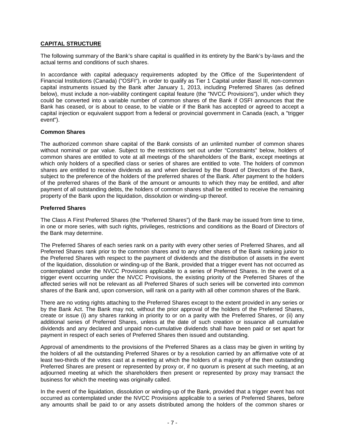# **CAPITAL STRUCTURE**

The following summary of the Bank's share capital is qualified in its entirety by the Bank's by-laws and the actual terms and conditions of such shares.

In accordance with capital adequacy requirements adopted by the Office of the Superintendent of Financial Institutions (Canada) ("OSFI"), in order to qualify as Tier 1 Capital under Basel III, non-common capital instruments issued by the Bank after January 1, 2013, including Preferred Shares (as defined below), must include a non-viability contingent capital feature (the "NVCC Provisions"), under which they could be converted into a variable number of common shares of the Bank if OSFI announces that the Bank has ceased, or is about to cease, to be viable or if the Bank has accepted or agreed to accept a capital injection or equivalent support from a federal or provincial government in Canada (each, a "trigger event").

## **Common Shares**

The authorized common share capital of the Bank consists of an unlimited number of common shares without nominal or par value. Subject to the restrictions set out under "Constraints" below, holders of common shares are entitled to vote at all meetings of the shareholders of the Bank, except meetings at which only holders of a specified class or series of shares are entitled to vote. The holders of common shares are entitled to receive dividends as and when declared by the Board of Directors of the Bank, subject to the preference of the holders of the preferred shares of the Bank. After payment to the holders of the preferred shares of the Bank of the amount or amounts to which they may be entitled, and after payment of all outstanding debts, the holders of common shares shall be entitled to receive the remaining property of the Bank upon the liquidation, dissolution or winding-up thereof.

## **Preferred Shares**

The Class A First Preferred Shares (the "Preferred Shares") of the Bank may be issued from time to time, in one or more series, with such rights, privileges, restrictions and conditions as the Board of Directors of the Bank may determine.

The Preferred Shares of each series rank on a parity with every other series of Preferred Shares, and all Preferred Shares rank prior to the common shares and to any other shares of the Bank ranking junior to the Preferred Shares with respect to the payment of dividends and the distribution of assets in the event of the liquidation, dissolution or winding-up of the Bank, provided that a trigger event has not occurred as contemplated under the NVCC Provisions applicable to a series of Preferred Shares. In the event of a trigger event occurring under the NVCC Provisions, the existing priority of the Preferred Shares of the affected series will not be relevant as all Preferred Shares of such series will be converted into common shares of the Bank and, upon conversion, will rank on a parity with all other common shares of the Bank.

There are no voting rights attaching to the Preferred Shares except to the extent provided in any series or by the Bank Act. The Bank may not, without the prior approval of the holders of the Preferred Shares, create or issue (i) any shares ranking in priority to or on a parity with the Preferred Shares, or (ii) any additional series of Preferred Shares, unless at the date of such creation or issuance all cumulative dividends and any declared and unpaid non-cumulative dividends shall have been paid or set apart for payment in respect of each series of Preferred Shares then issued and outstanding.

Approval of amendments to the provisions of the Preferred Shares as a class may be given in writing by the holders of all the outstanding Preferred Shares or by a resolution carried by an affirmative vote of at least two-thirds of the votes cast at a meeting at which the holders of a majority of the then outstanding Preferred Shares are present or represented by proxy or, if no quorum is present at such meeting, at an adjourned meeting at which the shareholders then present or represented by proxy may transact the business for which the meeting was originally called.

In the event of the liquidation, dissolution or winding-up of the Bank, provided that a trigger event has not occurred as contemplated under the NVCC Provisions applicable to a series of Preferred Shares, before any amounts shall be paid to or any assets distributed among the holders of the common shares or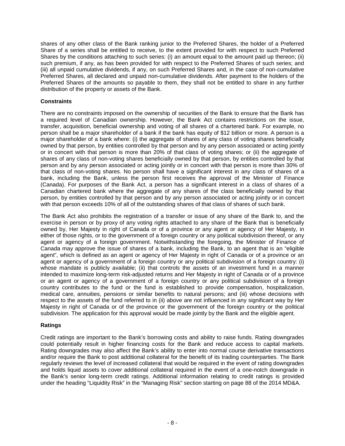shares of any other class of the Bank ranking junior to the Preferred Shares, the holder of a Preferred Share of a series shall be entitled to receive, to the extent provided for with respect to such Preferred Shares by the conditions attaching to such series: (i) an amount equal to the amount paid up thereon; (ii) such premium, if any, as has been provided for with respect to the Preferred Shares of such series; and (iii) all unpaid cumulative dividends, if any, on such Preferred Shares and, in the case of non-cumulative Preferred Shares, all declared and unpaid non-cumulative dividends. After payment to the holders of the Preferred Shares of the amounts so payable to them, they shall not be entitled to share in any further distribution of the property or assets of the Bank.

# **Constraints**

There are no constraints imposed on the ownership of securities of the Bank to ensure that the Bank has a required level of Canadian ownership. However, the Bank Act contains restrictions on the issue, transfer, acquisition, beneficial ownership and voting of all shares of a chartered bank. For example, no person shall be a major shareholder of a bank if the bank has equity of \$12 billion or more. A person is a major shareholder of a bank where: (i) the aggregate of shares of any class of voting shares beneficially owned by that person, by entities controlled by that person and by any person associated or acting jointly or in concert with that person is more than 20% of that class of voting shares; or (ii) the aggregate of shares of any class of non-voting shares beneficially owned by that person, by entities controlled by that person and by any person associated or acting jointly or in concert with that person is more than 30% of that class of non-voting shares. No person shall have a significant interest in any class of shares of a bank, including the Bank, unless the person first receives the approval of the Minister of Finance (Canada). For purposes of the Bank Act, a person has a significant interest in a class of shares of a Canadian chartered bank where the aggregate of any shares of the class beneficially owned by that person, by entities controlled by that person and by any person associated or acting jointly or in concert with that person exceeds 10% of all of the outstanding shares of that class of shares of such bank.

The Bank Act also prohibits the registration of a transfer or issue of any share of the Bank to, and the exercise in person or by proxy of any voting rights attached to any share of the Bank that is beneficially owned by, Her Majesty in right of Canada or of a province or any agent or agency of Her Majesty, in either of those rights, or to the government of a foreign country or any political subdivision thereof, or any agent or agency of a foreign government. Notwithstanding the foregoing, the Minister of Finance of Canada may approve the issue of shares of a bank, including the Bank, to an agent that is an "eligible agent", which is defined as an agent or agency of Her Majesty in right of Canada or of a province or an agent or agency of a government of a foreign country or any political subdivision of a foreign country: (i) whose mandate is publicly available; (ii) that controls the assets of an investment fund in a manner intended to maximize long-term risk-adjusted returns and Her Majesty in right of Canada or of a province or an agent or agency of a government of a foreign country or any political subdivision of a foreign country contributes to the fund or the fund is established to provide compensation, hospitalization, medical care, annuities, pensions or similar benefits to natural persons; and (iii) whose decisions with respect to the assets of the fund referred to in (ii) above are not influenced in any significant way by Her Majesty in right of Canada or of the province or the government of the foreign country or the political subdivision. The application for this approval would be made jointly by the Bank and the eligible agent.

# **Ratings**

Credit ratings are important to the Bank's borrowing costs and ability to raise funds. Rating downgrades could potentially result in higher financing costs for the Bank and reduce access to capital markets. Rating downgrades may also affect the Bank's ability to enter into normal course derivative transactions and/or require the Bank to post additional collateral for the benefit of its trading counterparties. The Bank regularly reviews the level of increased collateral that would be required in the event of rating downgrades and holds liquid assets to cover additional collateral required in the event of a one-notch downgrade in the Bank's senior long-term credit ratings. Additional information relating to credit ratings is provided under the heading "Liquidity Risk" in the "Managing Risk" section starting on page 88 of the 2014 MD&A.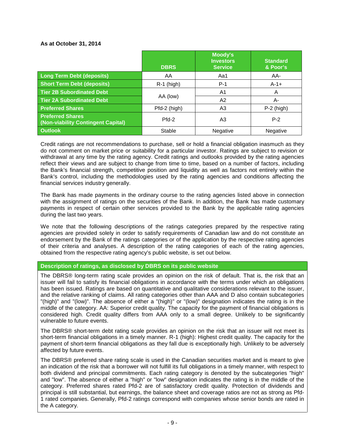# **As at October 31, 2014**

|                                                               | <b>DBRS</b>  | Moody's<br><b>Investors</b><br><b>Service</b> | <b>Standard</b><br>& Poor's |
|---------------------------------------------------------------|--------------|-----------------------------------------------|-----------------------------|
| <b>Long Term Debt (deposits)</b>                              | AA           | Aa1                                           | AA-                         |
| <b>Short Term Debt (deposits)</b>                             | $R-1$ (high) | $P-1$                                         | $A-1+$                      |
| <b>Tier 2B Subordinated Debt</b>                              |              | A1                                            | A                           |
| <b>Tier 2A Subordinated Debt</b>                              | AA (low)     | A2                                            | A-                          |
| <b>Preferred Shares</b>                                       | Pfd-2 (high) | A3                                            | $P-2$ (high)                |
| <b>Preferred Shares</b><br>(Non-viability Contingent Capital) | $Pfd-2$      | A3                                            | $P-2$                       |
| <b>Outlook</b>                                                | Stable       | Negative                                      | Negative                    |

Credit ratings are not recommendations to purchase, sell or hold a financial obligation inasmuch as they do not comment on market price or suitability for a particular investor. Ratings are subject to revision or withdrawal at any time by the rating agency. Credit ratings and outlooks provided by the rating agencies reflect their views and are subject to change from time to time, based on a number of factors, including the Bank's financial strength, competitive position and liquidity as well as factors not entirely within the Bank's control, including the methodologies used by the rating agencies and conditions affecting the financial services industry generally.

The Bank has made payments in the ordinary course to the rating agencies listed above in connection with the assignment of ratings on the securities of the Bank. In addition, the Bank has made customary payments in respect of certain other services provided to the Bank by the applicable rating agencies during the last two years.

We note that the following descriptions of the ratings categories prepared by the respective rating agencies are provided solely in order to satisfy requirements of Canadian law and do not constitute an endorsement by the Bank of the ratings categories or of the application by the respective rating agencies of their criteria and analyses. A description of the rating categories of each of the rating agencies, obtained from the respective rating agency's public website, is set out below.

**Description of ratings, as disclosed by DBRS on its public website**

The DBRS® long-term rating scale provides an opinion on the risk of default. That is, the risk that an issuer will fail to satisfy its financial obligations in accordance with the terms under which an obligations has been issued. Ratings are based on quantitative and qualitative considerations relevant to the issuer, and the relative ranking of claims. All rating categories other than AAA and D also contain subcategories "(high)" and "(low)". The absence of either a "(high)" or "(low)" designation indicates the rating is in the middle of the category. AA: Superior credit quality. The capacity for the payment of financial obligations is considered high. Credit quality differs from AAA only to a small degree. Unlikely to be significantly vulnerable to future events.

The DBRS® short-term debt rating scale provides an opinion on the risk that an issuer will not meet its short-term financial obligations in a timely manner. R-1 (high): Highest credit quality. The capacity for the payment of short-term financial obligations as they fall due is exceptionally high. Unlikely to be adversely affected by future events.

The DBRS® preferred share rating scale is used in the Canadian securities market and is meant to give an indication of the risk that a borrower will not fulfill its full obligations in a timely manner, with respect to both dividend and principal commitments. Each rating category is denoted by the subcategories "high" and "low". The absence of either a "high" or "low" designation indicates the rating is in the middle of the category. Preferred shares rated Pfd-2 are of satisfactory credit quality. Protection of dividends and principal is still substantial, but earnings, the balance sheet and coverage ratios are not as strong as Pfd-1 rated companies. Generally, Pfd-2 ratings correspond with companies whose senior bonds are rated in the A category.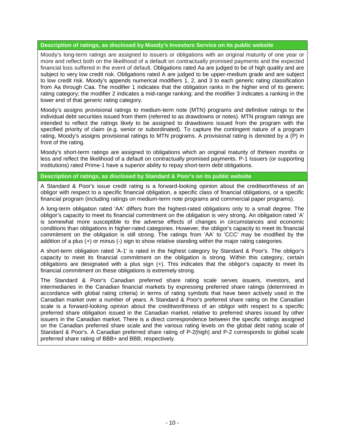## **Description of ratings, as disclosed by Moody's Investors Service on its public website**

Moody's long-term ratings are assigned to issuers or obligations with an original maturity of one year or more and reflect both on the likelihood of a default on contractually promised payments and the expected financial loss suffered in the event of default. Obligations rated Aa are judged to be of high quality and are subject to very low credit risk. Obligations rated A are judged to be upper-medium grade and are subject to low credit risk. Moody's appends numerical modifiers 1, 2, and 3 to each generic rating classification from Aa through Caa. The modifier 1 indicates that the obligation ranks in the higher end of its generic rating category; the modifier 2 indicates a mid-range ranking; and the modifier 3 indicates a ranking in the lower end of that generic rating category.

Moody's assigns provisional ratings to medium-term note (MTN) programs and definitive ratings to the individual debt securities issued from them (referred to as drawdowns or notes). MTN program ratings are intended to reflect the ratings likely to be assigned to drawdowns issued from the program with the specified priority of claim (e.g. senior or subordinated). To capture the contingent nature of a program rating, Moody's assigns provisional ratings to MTN programs. A provisional rating is denoted by a (P) in front of the rating.

Moody's short-term ratings are assigned to obligations which an original maturity of thirteen months or less and reflect the likelihood of a default on contractually promised payments. P-1 Issuers (or supporting institutions) rated Prime-1 have a superior ability to repay short-term debt obligations.

# **Description of ratings, as disclosed by Standard & Poor's on its public website**

A Standard & Poor's issue credit rating is a forward-looking opinion about the creditworthiness of an obligor with respect to a specific financial obligation, a specific class of financial obligations, or a specific financial program (including ratings on medium-term note programs and commercial paper programs).

A long-term obligation rated 'AA' differs from the highest-rated obligations only to a small degree. The obligor's capacity to meet its financial commitment on the obligation is very strong. An obligation rated 'A' is somewhat more susceptible to the adverse effects of changes in circumstances and economic conditions than obligations in higher-rated categories. However, the obligor's capacity to meet its financial commitment on the obligation is still strong. The ratings from 'AA' to 'CCC' may be modified by the addition of a plus (+) or minus (-) sign to show relative standing within the major rating categories.

A short-term obligation rated 'A-1' is rated in the highest category by Standard & Poor's. The obligor's capacity to meet its financial commitment on the obligation is strong. Within this category, certain obligations are designated with a plus sign (+). This indicates that the obligor's capacity to meet its financial commitment on these obligations is extremely strong.

The Standard & Poor's Canadian preferred share rating scale serves issuers, investors, and intermediaries in the Canadian financial markets by expressing preferred share ratings (determined in accordance with global rating criteria) in terms of rating symbols that have been actively used in the Canadian market over a number of years. A Standard & Poor's preferred share rating on the Canadian scale is a forward-looking opinion about the creditworthiness of an obligor with respect to a specific preferred share obligation issued in the Canadian market, relative to preferred shares issued by other issuers in the Canadian market. There is a direct correspondence between the specific ratings assigned on the Canadian preferred share scale and the various rating levels on the global debt rating scale of Standard & Poor's. A Canadian preferred share rating of P-2(high) and P-2 corresponds to global scale preferred share rating of BBB+ and BBB, respectively.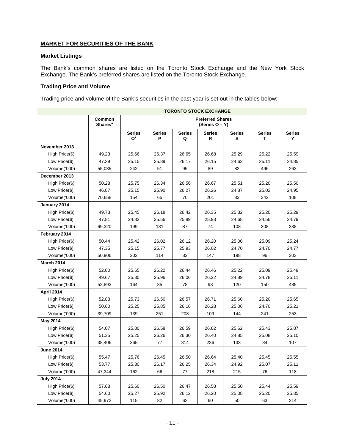# **MARKET FOR SECURITIES OF THE BANK**

# **Market Listings**

The Bank's common shares are listed on the Toronto Stock Exchange and the New York Stock Exchange. The Bank's preferred shares are listed on the Toronto Stock Exchange.

# **Trading Price and Volume**

Trading price and volume of the Bank's securities in the past year is set out in the tables below:

|                   | <b>TORONTO STOCK EXCHANGE</b> |                                 |                                           |                    |                    |                    |                    |                    |  |
|-------------------|-------------------------------|---------------------------------|-------------------------------------------|--------------------|--------------------|--------------------|--------------------|--------------------|--|
|                   | Common<br>Shares <sup>1</sup> |                                 | <b>Preferred Shares</b><br>(Series O – Y) |                    |                    |                    |                    |                    |  |
|                   |                               | <b>Series</b><br>O <sup>2</sup> | <b>Series</b><br>P                        | <b>Series</b><br>Q | <b>Series</b><br>R | <b>Series</b><br>s | <b>Series</b><br>т | <b>Series</b><br>Y |  |
| November 2013     |                               |                                 |                                           |                    |                    |                    |                    |                    |  |
| High Price(\$)    | 49.23                         | 25.66                           | 26.37                                     | 26.65              | 26.68              | 25.29              | 25.22              | 25.59              |  |
| Low Price(\$)     | 47.39                         | 25.15                           | 25.89                                     | 26.17              | 26.15              | 24.62              | 25.11              | 24.85              |  |
| Volume('000)      | 55,035                        | 242                             | 51                                        | 95                 | 89                 | 82                 | 496                | 263                |  |
| December 2013     |                               |                                 |                                           |                    |                    |                    |                    |                    |  |
| High Price(\$)    | 50.28                         | 25.75                           | 26.34                                     | 26.56              | 26.67              | 25.51              | 25.20              | 25.50              |  |
| Low Price(\$)     | 46.87                         | 25.15                           | 25.90                                     | 26.27              | 26.26              | 24.87              | 25.02              | 24.95              |  |
| Volume('000)      | 70,658                        | 154                             | 65                                        | 70                 | 201                | 83                 | 342                | 108                |  |
| January 2014      |                               |                                 |                                           |                    |                    |                    |                    |                    |  |
| High Price(\$)    | 49.73                         | 25.45                           | 26.18                                     | 26.42              | 26.35              | 25.32              | 25.20              | 25.29              |  |
| Low Price(\$)     | 47.81                         | 24.82                           | 25.56                                     | 25.89              | 25.93              | 24.68              | 24.56              | 24.79              |  |
| Volume('000)      | 69,320                        | 199                             | 131                                       | 87                 | 74                 | 108                | 308                | 338                |  |
| February 2014     |                               |                                 |                                           |                    |                    |                    |                    |                    |  |
| High Price(\$)    | 50.44                         | 25.42                           | 26.02                                     | 26.12              | 26.20              | 25.00              | 25.09              | 25.24              |  |
| Low Price(\$)     | 47.35                         | 25.15                           | 25.77                                     | 25.93              | 26.02              | 24.70              | 24.70              | 24.77              |  |
| Volume('000)      | 50,906                        | 202                             | 114                                       | 82                 | 147                | 198                | 96                 | 303                |  |
| <b>March 2014</b> |                               |                                 |                                           |                    |                    |                    |                    |                    |  |
| High Price(\$)    | 52.00                         | 25.65                           | 26.22                                     | 26.44              | 26.46              | 25.22              | 25.09              | 25.49              |  |
| Low Price(\$)     | 49.67                         | 25.30                           | 25.96                                     | 26.06              | 26.22              | 24.89              | 24.78              | 25.11              |  |
| Volume('000)      | 52,893                        | 164                             | 85                                        | 78                 | 93                 | 120                | 150                | 485                |  |
| <b>April 2014</b> |                               |                                 |                                           |                    |                    |                    |                    |                    |  |
| High Price(\$)    | 52.83                         | 25.73                           | 26.50                                     | 26.57              | 26.71              | 25.60              | 25.20              | 25.65              |  |
| Low Price(\$)     | 50.60                         | 25.25                           | 25.85                                     | 26.16              | 26.28              | 25.06              | 24.70              | 25.21              |  |
| Volume('000)      | 39,709                        | 139                             | 251                                       | 208                | 109                | 144                | 241                | 253                |  |
| <b>May 2014</b>   |                               |                                 |                                           |                    |                    |                    |                    |                    |  |
| High Price(\$)    | 54.07                         | 25.80                           | 26.58                                     | 26.59              | 26.82              | 25.62              | 25.43              | 25.87              |  |
| Low Price(\$)     | 51.35                         | 25.25                           | 26.26                                     | 26.30              | 26.40              | 24.85              | 25.08              | 25.10              |  |
| Volume('000)      | 38,406                        | 365                             | 77                                        | 314                | 236                | 133                | 84                 | 107                |  |
| <b>June 2014</b>  |                               |                                 |                                           |                    |                    |                    |                    |                    |  |
| High Price(\$)    | 55.47                         | 25.76                           | 26.45                                     | 26.50              | 26.64              | 25.40              | 25.45              | 25.55              |  |
| Low Price(\$)     | 53.77                         | 25.30                           | 26.17                                     | 26.25              | 26.34              | 24.92              | 25.07              | 25.11              |  |
| Volume('000)      | 47,344                        | 162                             | 66                                        | 77                 | 218                | 215                | 76                 | 118                |  |
| <b>July 2014</b>  |                               |                                 |                                           |                    |                    |                    |                    |                    |  |
| High Price(\$)    | 57.68                         | 25.60                           | 26.50                                     | 26.47              | 26.58              | 25.50              | 25.44              | 25.59              |  |
| Low Price(\$)     | 54.60                         | 25.27                           | 25.92                                     | 26.12              | 26.20              | 25.08              | 25.20              | 25.35              |  |
| Volume('000)      | 45,972                        | 115                             | 82                                        | 62                 | 60                 | 50                 | 63                 | 214                |  |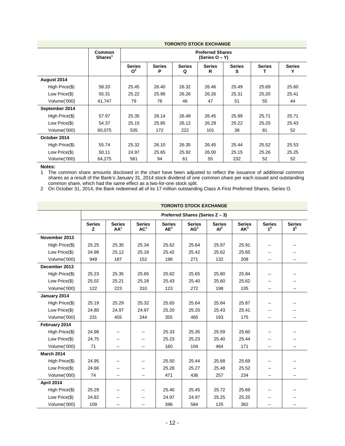|                | <b>TORONTO STOCK EXCHANGE</b> |                                 |                                           |                    |                    |                    |               |                    |  |
|----------------|-------------------------------|---------------------------------|-------------------------------------------|--------------------|--------------------|--------------------|---------------|--------------------|--|
|                | Common<br>Shares <sup>1</sup> |                                 | <b>Preferred Shares</b><br>(Series O – Y) |                    |                    |                    |               |                    |  |
|                |                               | <b>Series</b><br>O <sup>2</sup> | <b>Series</b><br>Р                        | <b>Series</b><br>Q | <b>Series</b><br>R | <b>Series</b><br>s | <b>Series</b> | <b>Series</b><br>Υ |  |
| August 2014    |                               |                                 |                                           |                    |                    |                    |               |                    |  |
| High Price(\$) | 58.20                         | 25.45                           | 26.40                                     | 26.32              | 26.46              | 25.49              | 25.69         | 25.60              |  |
| Low Price(\$)  | 55.31                         | 25.22                           | 25.96                                     | 26.26              | 26.26              | 25.31              | 25.20         | 25.41              |  |
| Volume('000)   | 41,747                        | 79                              | 76                                        | 46                 | 47                 | 51                 | 55            | 44                 |  |
| September 2014 |                               |                                 |                                           |                    |                    |                    |               |                    |  |
| High Price(\$) | 57.97                         | 25.35                           | 26.14                                     | 26.49              | 26.45              | 25.99              | 25.71         | 25.71              |  |
| Low Price(\$)  | 54.37                         | 25.15                           | 25.85                                     | 26.12              | 26.29              | 25.22              | 25.20         | 25.43              |  |
| Volume('000)   | 60,075                        | 535                             | 172                                       | 222                | 101                | 38                 | 81            | 52                 |  |
| October 2014   |                               |                                 |                                           |                    |                    |                    |               |                    |  |
| High Price(\$) | 55.74                         | 25.32                           | 26.10                                     | 26.35              | 26.45              | 25.44              | 25.52         | 25.53              |  |
| Low Price(\$)  | 50.11                         | 24.97                           | 25.65                                     | 25.92              | 26.00              | 25.15              | 25.26         | 25.25              |  |
| Volume('000)   | 64,275                        | 581                             | 94                                        | 61                 | 55                 | 232                | 52            | 52                 |  |

#### **Notes:**

1 The common share amounts disclosed in the chart have been adjusted to reflect the issuance of additional common shares as a result of the Bank's January 31, 2014 stock dividend of one common share per each issued and outstanding common share, which had the same effect as a two-for-one stock split.

2 On October 31, 2014, the Bank redeemed all of its 17 million outstanding Class A First Preferred Shares, Series O.

# **TORONTO STOCK EXCHANGE**

|                   | Preferred Shares (Series Z - 3) |                                  |                                  |                         |                                  |                                  |                                  |                                 |                                 |
|-------------------|---------------------------------|----------------------------------|----------------------------------|-------------------------|----------------------------------|----------------------------------|----------------------------------|---------------------------------|---------------------------------|
|                   | <b>Series</b><br>z              | <b>Series</b><br>AA <sup>1</sup> | <b>Series</b><br>AC <sup>1</sup> | <b>Series</b><br>$AE^2$ | <b>Series</b><br>AG <sup>2</sup> | <b>Series</b><br>Al <sup>3</sup> | <b>Series</b><br>AK <sup>3</sup> | <b>Series</b><br>1 <sup>4</sup> | <b>Series</b><br>3 <sup>5</sup> |
| November 2013     |                                 |                                  |                                  |                         |                                  |                                  |                                  |                                 |                                 |
| High Price(\$)    | 25.25                           | 25.35                            | 25.34                            | 25.62                   | 25.64                            | 25.97                            | 25.91                            | --                              |                                 |
| Low Price(\$)     | 24.98                           | 25.12                            | 25.18                            | 25.42                   | 25.42                            | 25.62                            | 25.65                            | $-$                             | --                              |
| Volume('000)      | 949                             | 187                              | 152                              | 198                     | 271                              | 132                              | 208                              | --                              | --                              |
| December 2013     |                                 |                                  |                                  |                         |                                  |                                  |                                  |                                 |                                 |
| High Price(\$)    | 25.23                           | 25.35                            | 25.65                            | 25.62                   | 25.65                            | 25.80                            | 25.84                            |                                 |                                 |
| Low Price(\$)     | 25.02                           | 25.21                            | 25.28                            | 25.43                   | 25.40                            | 25.60                            | 25.62                            | $-$                             |                                 |
| Volume('000)      | 122                             | 223                              | 310                              | 123                     | 272                              | 198                              | 135                              | --                              | --                              |
| January 2014      |                                 |                                  |                                  |                         |                                  |                                  |                                  |                                 |                                 |
| High Price(\$)    | 25.19                           | 25.29                            | 25.32                            | 25.65                   | 25.64                            | 25.84                            | 25.87                            | --                              |                                 |
| Low Price(\$)     | 24.80                           | 24.97                            | 24.97                            | 25.20                   | 25.20                            | 25.43                            | 25.41                            | $-$                             |                                 |
| Volume('000)      | 231                             | 455                              | 244                              | 355                     | 465                              | 193                              | 175                              | --                              | --                              |
| February 2014     |                                 |                                  |                                  |                         |                                  |                                  |                                  |                                 |                                 |
| High Price(\$)    | 24.98                           | --                               | $\overline{a}$                   | 25.33                   | 25.35                            | 25.59                            | 25.60                            |                                 |                                 |
| Low Price(\$)     | 24.75                           | --                               | --                               | 25.23                   | 25.23                            | 25.40                            | 25.44                            | $- -$                           |                                 |
| Volume('000)      | 71                              | --                               | $\overline{\phantom{a}}$         | 160                     | 104                              | 464                              | 171                              | --                              | --                              |
| <b>March 2014</b> |                                 |                                  |                                  |                         |                                  |                                  |                                  |                                 |                                 |
| High Price(\$)    | 24.95                           | --                               | $\overline{\phantom{a}}$         | 25.50                   | 25.44                            | 25.68                            | 25.69                            |                                 |                                 |
| Low Price(\$)     | 24.66                           | --                               | $\overline{\phantom{a}}$         | 25.28                   | 25.27                            | 25.48                            | 25.52                            | --                              | --                              |
| Volume('000)      | 74                              | $\overline{a}$                   | $\overline{a}$                   | 471                     | 436                              | 257                              | 234                              | $\overline{\phantom{a}}$        | --                              |
| <b>April 2014</b> |                                 |                                  |                                  |                         |                                  |                                  |                                  |                                 |                                 |
| High Price(\$)    | 25.29                           | --                               | $\overline{\phantom{a}}$         | 25.40                   | 25.45                            | 25.72                            | 25.69                            | --                              |                                 |
| Low Price(\$)     | 24.82                           | --                               | --                               | 24.97                   | 24.97                            | 25.25                            | 25.25                            | $-$                             |                                 |
| Volume('000)      | 109                             | --                               | $\overline{a}$                   | 396                     | 584                              | 125                              | 362                              |                                 | --                              |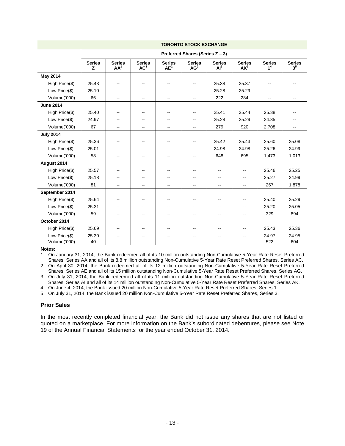|                  | <b>TORONTO STOCK EXCHANGE</b>   |                                  |                                  |                          |                                  |                                  |                                  |                                 |                                 |
|------------------|---------------------------------|----------------------------------|----------------------------------|--------------------------|----------------------------------|----------------------------------|----------------------------------|---------------------------------|---------------------------------|
|                  | Preferred Shares (Series Z - 3) |                                  |                                  |                          |                                  |                                  |                                  |                                 |                                 |
|                  | <b>Series</b><br>z              | <b>Series</b><br>AA <sup>1</sup> | <b>Series</b><br>AC <sup>1</sup> | <b>Series</b><br>$AE^2$  | <b>Series</b><br>AG <sup>2</sup> | <b>Series</b><br>Al <sup>3</sup> | <b>Series</b><br>AK <sup>3</sup> | <b>Series</b><br>1 <sup>4</sup> | <b>Series</b><br>3 <sup>5</sup> |
| <b>May 2014</b>  |                                 |                                  |                                  |                          |                                  |                                  |                                  |                                 |                                 |
| High Price(\$)   | 25.43                           | $\sim$ $\sim$                    | $\overline{\phantom{a}}$         | $\overline{\phantom{a}}$ | $\overline{\phantom{a}}$         | 25.38                            | 25.37                            |                                 |                                 |
| Low Price(\$)    | 25.10                           | $\overline{\phantom{m}}$         | $\overline{\phantom{a}}$         | $-$                      | $\overline{\phantom{a}}$         | 25.28                            | 25.29                            | --                              |                                 |
| Volume('000)     | 66                              | ۰.                               | $\overline{\phantom{a}}$         | $\overline{\phantom{m}}$ | $\overline{\phantom{a}}$         | 222                              | 284                              | --                              | $\overline{\phantom{a}}$        |
| <b>June 2014</b> |                                 |                                  |                                  |                          |                                  |                                  |                                  |                                 |                                 |
| High Price(\$)   | 25.40                           | $\overline{\phantom{m}}$         | $\overline{\phantom{a}}$         | $\overline{\phantom{m}}$ | $\overline{\phantom{a}}$         | 25.41                            | 25.44                            | 25.38                           |                                 |
| Low Price(\$)    | 24.97                           | $\overline{\phantom{a}}$         | $\overline{\phantom{a}}$         | --                       | $\mathbf{u}$                     | 25.28                            | 25.29                            | 24.85                           |                                 |
| Volume('000)     | 67                              | $-$                              | $-$                              | $\overline{a}$           | $-$                              | 279                              | 920                              | 2,708                           |                                 |
| <b>July 2014</b> |                                 |                                  |                                  |                          |                                  |                                  |                                  |                                 |                                 |
| High Price(\$)   | 25.36                           | $\sim$ $\sim$                    | --                               | $-$                      | $\mathbf{u}$                     | 25.42                            | 25.43                            | 25.60                           | 25.08                           |
| Low Price(\$)    | 25.01                           | --                               |                                  |                          | $\overline{\phantom{a}}$         | 24.98                            | 24.98                            | 25.26                           | 24.99                           |
| Volume('000)     | 53                              | --                               |                                  | $\overline{\phantom{a}}$ | $\overline{\phantom{a}}$         | 648                              | 695                              | 1,473                           | 1,013                           |
| August 2014      |                                 |                                  |                                  |                          |                                  |                                  |                                  |                                 |                                 |
| High Price(\$)   | 25.57                           | $\overline{\phantom{m}}$         | --                               |                          | --                               |                                  | --                               | 25.46                           | 25.25                           |
| Low Price(\$)    | 25.18                           | $-$                              | $\overline{\phantom{a}}$         | $-$                      | $\mathbf{u}$                     | $-$                              | $\overline{\phantom{a}}$         | 25.27                           | 24.99                           |
| Volume('000)     | 81                              | --                               | $\sim$                           | $\mathbf{u}$             | $\sim$ $\sim$                    | $\sim$                           | --                               | 267                             | 1,878                           |
| September 2014   |                                 |                                  |                                  |                          |                                  |                                  |                                  |                                 |                                 |
| High Price(\$)   | 25.64                           | $-$                              | $\overline{\phantom{a}}$         | $-$                      | $\mathbf{u}$                     | $-$                              | --                               | 25.40                           | 25.29                           |
| Low Price(\$)    | 25.31                           | ۰.                               | $\overline{\phantom{m}}$         | $-$                      | $\overline{\phantom{a}}$         | --                               | --                               | 25.20                           | 25.05                           |
| Volume('000)     | 59                              | $\overline{\phantom{a}}$         | $\overline{\phantom{a}}$         | $\sim$                   | $\overline{\phantom{a}}$         | $\overline{\phantom{a}}$         | $\overline{a}$                   | 329                             | 894                             |
| October 2014     |                                 |                                  |                                  |                          |                                  |                                  |                                  |                                 |                                 |
| High Price(\$)   | 25.69                           | $\overline{\phantom{m}}$         | $\overline{\phantom{a}}$         | $- -$                    | $\overline{\phantom{a}}$         | --                               | --                               | 25.43                           | 25.36                           |
| Low Price(\$)    | 25.30                           |                                  | --                               |                          | $- -$                            |                                  | --                               | 24.97                           | 24.95                           |
| Volume('000)     | 40                              | --                               | $\overline{\phantom{a}}$         | $\overline{\phantom{a}}$ | $\overline{\phantom{a}}$         | $\overline{\phantom{a}}$         | --                               | 522                             | 604                             |

**Notes:**

1 On January 31, 2014, the Bank redeemed all of its 10 million outstanding Non-Cumulative 5-Year Rate Reset Preferred Shares, Series AA and all of its 8.8 million outstanding Non-Cumulative 5-Year Rate Reset Preferred Shares, Series AC.

2 On April 30, 2014, the Bank redeemed all of its 12 million outstanding Non-Cumulative 5-Year Rate Reset Preferred Shares, Series AE and all of its 15 million outstanding Non-Cumulative 5-Year Rate Reset Preferred Shares, Series AG.

3 On July 31, 2014, the Bank redeemed all of its 11 million outstanding Non-Cumulative 5-Year Rate Reset Preferred Shares, Series AI and all of its 14 million outstanding Non-Cumulative 5-Year Rate Reset Preferred Shares, Series AK.

4 On June 4, 2014, the Bank issued 20 million Non-Cumulative 5-Year Rate Reset Preferred Shares, Series 1.

5 On July 31, 2014, the Bank issued 20 million Non-Cumulative 5-Year Rate Reset Preferred Shares, Series 3.

#### **Prior Sales**

In the most recently completed financial year, the Bank did not issue any shares that are not listed or quoted on a marketplace. For more information on the Bank's subordinated debentures, please see Note 19 of the Annual Financial Statements for the year ended October 31, 2014.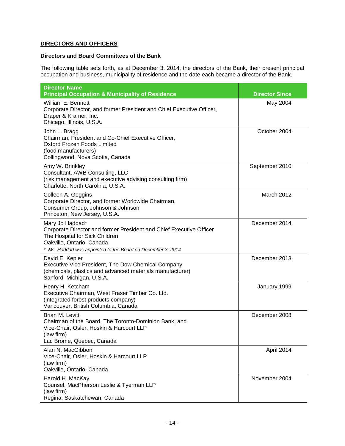# **DIRECTORS AND OFFICERS**

# **Directors and Board Committees of the Bank**

The following table sets forth, as at December 3, 2014, the directors of the Bank, their present principal occupation and business, municipality of residence and the date each became a director of the Bank.

| <b>Director Name</b><br><b>Principal Occupation &amp; Municipality of Residence</b>                                                                                                                                  | <b>Director Since</b> |
|----------------------------------------------------------------------------------------------------------------------------------------------------------------------------------------------------------------------|-----------------------|
| William E. Bennett<br>Corporate Director, and former President and Chief Executive Officer,<br>Draper & Kramer, Inc.<br>Chicago, Illinois, U.S.A.                                                                    | May 2004              |
| John L. Bragg<br>Chairman, President and Co-Chief Executive Officer,<br>Oxford Frozen Foods Limited<br>(food manufacturers)<br>Collingwood, Nova Scotia, Canada                                                      | October 2004          |
| Amy W. Brinkley<br>Consultant, AWB Consulting, LLC<br>(risk management and executive advising consulting firm)<br>Charlotte, North Carolina, U.S.A.                                                                  | September 2010        |
| Colleen A. Goggins<br>Corporate Director, and former Worldwide Chairman,<br>Consumer Group, Johnson & Johnson<br>Princeton, New Jersey, U.S.A.                                                                       | March 2012            |
| Mary Jo Haddad*<br>Corporate Director and former President and Chief Executive Officer<br>The Hospital for Sick Children<br>Oakville, Ontario, Canada<br>* Ms. Haddad was appointed to the Board on December 3, 2014 | December 2014         |
| David E. Kepler<br>Executive Vice President, The Dow Chemical Company<br>(chemicals, plastics and advanced materials manufacturer)<br>Sanford, Michigan, U.S.A.                                                      | December 2013         |
| Henry H. Ketcham<br>Executive Chairman, West Fraser Timber Co. Ltd.<br>(integrated forest products company)<br>Vancouver, British Columbia, Canada                                                                   | January 1999          |
| Brian M. Levitt<br>Chairman of the Board, The Toronto-Dominion Bank, and<br>Vice-Chair, Osler, Hoskin & Harcourt LLP<br>(law firm)<br>Lac Brome, Quebec, Canada                                                      | December 2008         |
| Alan N. MacGibbon<br>Vice-Chair, Osler, Hoskin & Harcourt LLP<br>(law firm)<br>Oakville, Ontario, Canada                                                                                                             | April 2014            |
| Harold H. MacKay<br>Counsel, MacPherson Leslie & Tyerman LLP<br>(law firm)<br>Regina, Saskatchewan, Canada                                                                                                           | November 2004         |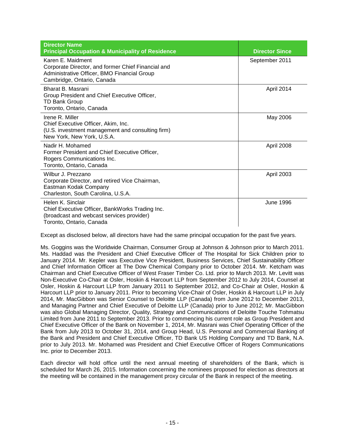| <b>Director Name</b><br><b>Principal Occupation &amp; Municipality of Residence</b>                                                                  | <b>Director Since</b> |
|------------------------------------------------------------------------------------------------------------------------------------------------------|-----------------------|
| Karen E. Maidment<br>Corporate Director, and former Chief Financial and<br>Administrative Officer, BMO Financial Group<br>Cambridge, Ontario, Canada | September 2011        |
| Bharat B. Masrani<br>Group President and Chief Executive Officer,<br><b>TD Bank Group</b><br>Toronto, Ontario, Canada                                | April 2014            |
| Irene R. Miller<br>Chief Executive Officer, Akim, Inc.<br>(U.S. investment management and consulting firm)<br>New York, New York, U.S.A.             | May 2006              |
| Nadir H. Mohamed<br>Former President and Chief Executive Officer,<br>Rogers Communications Inc.<br>Toronto, Ontario, Canada                          | April 2008            |
| Wilbur J. Prezzano<br>Corporate Director, and retired Vice Chairman,<br>Eastman Kodak Company<br>Charleston, South Carolina, U.S.A.                  | April 2003            |
| Helen K. Sinclair<br>Chief Executive Officer, BankWorks Trading Inc.<br>(broadcast and webcast services provider)<br>Toronto, Ontario, Canada        | <b>June 1996</b>      |

Except as disclosed below, all directors have had the same principal occupation for the past five years.

Ms. Goggins was the Worldwide Chairman, Consumer Group at Johnson & Johnson prior to March 2011. Ms. Haddad was the President and Chief Executive Officer of The Hospital for Sick Children prior to January 2014. Mr. Kepler was Executive Vice President, Business Services, Chief Sustainability Officer and Chief Information Officer at The Dow Chemical Company prior to October 2014. Mr. Ketcham was Chairman and Chief Executive Officer of West Fraser Timber Co. Ltd. prior to March 2013. Mr. Levitt was Non-Executive Co-Chair at Osler, Hoskin & Harcourt LLP from September 2012 to July 2014, Counsel at Osler, Hoskin & Harcourt LLP from January 2011 to September 2012, and Co-Chair at Osler, Hoskin & Harcourt LLP prior to January 2011. Prior to becoming Vice-Chair of Osler, Hoskin & Harcourt LLP in July 2014, Mr. MacGibbon was Senior Counsel to Deloitte LLP (Canada) from June 2012 to December 2013, and Managing Partner and Chief Executive of Deloitte LLP (Canada) prior to June 2012; Mr. MacGibbon was also Global Managing Director, Quality, Strategy and Communications of Deloitte Touche Tohmatsu Limited from June 2011 to September 2013. Prior to commencing his current role as Group President and Chief Executive Officer of the Bank on November 1, 2014, Mr. Masrani was Chief Operating Officer of the Bank from July 2013 to October 31, 2014, and Group Head, U.S. Personal and Commercial Banking of the Bank and President and Chief Executive Officer, TD Bank US Holding Company and TD Bank, N.A. prior to July 2013. Mr. Mohamed was President and Chief Executive Officer of Rogers Communications Inc. prior to December 2013.

Each director will hold office until the next annual meeting of shareholders of the Bank, which is scheduled for March 26, 2015. Information concerning the nominees proposed for election as directors at the meeting will be contained in the management proxy circular of the Bank in respect of the meeting.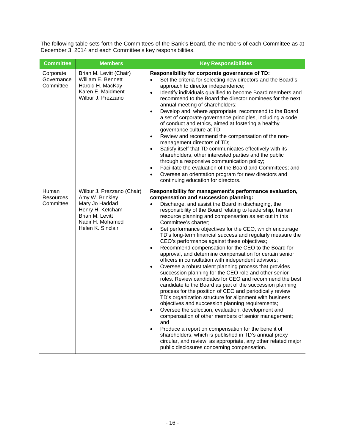The following table sets forth the Committees of the Bank's Board, the members of each Committee as at December 3, 2014 and each Committee's key responsibilities.

| <b>Committee</b>                     | <b>Members</b>                                                                                                                                  | <b>Key Responsibilities</b>                                                                                                                                                                                                                                                                                                                                                                                                                                                                                                                                                                                                                                                                                                                                                                                                                                                                                                                                                                                                                                                                                                                                                                                                                                                                                                                                                                                                                                                                      |
|--------------------------------------|-------------------------------------------------------------------------------------------------------------------------------------------------|--------------------------------------------------------------------------------------------------------------------------------------------------------------------------------------------------------------------------------------------------------------------------------------------------------------------------------------------------------------------------------------------------------------------------------------------------------------------------------------------------------------------------------------------------------------------------------------------------------------------------------------------------------------------------------------------------------------------------------------------------------------------------------------------------------------------------------------------------------------------------------------------------------------------------------------------------------------------------------------------------------------------------------------------------------------------------------------------------------------------------------------------------------------------------------------------------------------------------------------------------------------------------------------------------------------------------------------------------------------------------------------------------------------------------------------------------------------------------------------------------|
| Corporate<br>Governance<br>Committee | Brian M. Levitt (Chair)<br>William E. Bennett<br>Harold H. MacKay<br>Karen E. Maidment<br>Wilbur J. Prezzano                                    | Responsibility for corporate governance of TD:<br>Set the criteria for selecting new directors and the Board's<br>$\bullet$<br>approach to director independence;<br>Identify individuals qualified to become Board members and<br>$\bullet$<br>recommend to the Board the director nominees for the next<br>annual meeting of shareholders;<br>Develop and, where appropriate, recommend to the Board<br>$\bullet$<br>a set of corporate governance principles, including a code<br>of conduct and ethics, aimed at fostering a healthy<br>governance culture at TD;<br>Review and recommend the compensation of the non-<br>$\bullet$<br>management directors of TD;<br>Satisfy itself that TD communicates effectively with its<br>$\bullet$<br>shareholders, other interested parties and the public<br>through a responsive communication policy;<br>Facilitate the evaluation of the Board and Committees; and<br>$\bullet$<br>Oversee an orientation program for new directors and<br>$\bullet$<br>continuing education for directors.                                                                                                                                                                                                                                                                                                                                                                                                                                                    |
| Human<br>Resources<br>Committee      | Wilbur J. Prezzano (Chair)<br>Amy W. Brinkley<br>Mary Jo Haddad<br>Henry H. Ketcham<br>Brian M. Levitt<br>Nadir H. Mohamed<br>Helen K. Sinclair | Responsibility for management's performance evaluation,<br>compensation and succession planning:<br>Discharge, and assist the Board in discharging, the<br>$\bullet$<br>responsibility of the Board relating to leadership, human<br>resource planning and compensation as set out in this<br>Committee's charter;<br>Set performance objectives for the CEO, which encourage<br>$\bullet$<br>TD's long-term financial success and regularly measure the<br>CEO's performance against these objectives;<br>Recommend compensation for the CEO to the Board for<br>$\bullet$<br>approval, and determine compensation for certain senior<br>officers in consultation with independent advisors;<br>Oversee a robust talent planning process that provides<br>$\bullet$<br>succession planning for the CEO role and other senior<br>roles. Review candidates for CEO and recommend the best<br>candidate to the Board as part of the succession planning<br>process for the position of CEO and periodically review<br>TD's organization structure for alignment with business<br>objectives and succession planning requirements;<br>Oversee the selection, evaluation, development and<br>compensation of other members of senior management;<br>and<br>Produce a report on compensation for the benefit of<br>$\bullet$<br>shareholders, which is published in TD's annual proxy<br>circular, and review, as appropriate, any other related major<br>public disclosures concerning compensation. |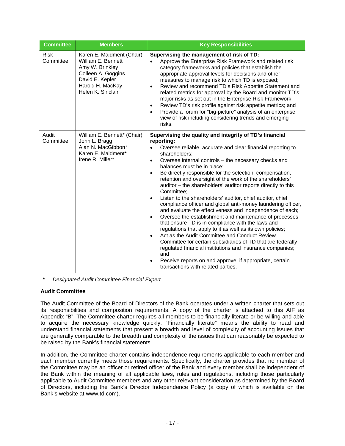| <b>Committee</b>         | <b>Members</b>                                                                                                                                       | <b>Key Responsibilities</b>                                                                                                                                                                                                                                                                                                                                                                                                                                                                                                                                                                                                                                                                                                                                                                                                                                                                                                                                                                                                                                                                                                                                      |
|--------------------------|------------------------------------------------------------------------------------------------------------------------------------------------------|------------------------------------------------------------------------------------------------------------------------------------------------------------------------------------------------------------------------------------------------------------------------------------------------------------------------------------------------------------------------------------------------------------------------------------------------------------------------------------------------------------------------------------------------------------------------------------------------------------------------------------------------------------------------------------------------------------------------------------------------------------------------------------------------------------------------------------------------------------------------------------------------------------------------------------------------------------------------------------------------------------------------------------------------------------------------------------------------------------------------------------------------------------------|
| <b>Risk</b><br>Committee | Karen E. Maidment (Chair)<br>William E. Bennett<br>Amy W. Brinkley<br>Colleen A. Goggins<br>David E. Kepler<br>Harold H. MacKay<br>Helen K. Sinclair | Supervising the management of risk of TD:<br>Approve the Enterprise Risk Framework and related risk<br>category frameworks and policies that establish the<br>appropriate approval levels for decisions and other<br>measures to manage risk to which TD is exposed;<br>Review and recommend TD's Risk Appetite Statement and<br>$\bullet$<br>related metrics for approval by the Board and monitor TD's<br>major risks as set out in the Enterprise Risk Framework;<br>Review TD's risk profile against risk appetite metrics; and<br>$\bullet$<br>Provide a forum for "big-picture" analysis of an enterprise<br>$\bullet$<br>view of risk including considering trends and emerging<br>risks.                                                                                                                                                                                                                                                                                                                                                                                                                                                                 |
| Audit<br>Committee       | William E. Bennett* (Chair)<br>John L. Bragg<br>Alan N. MacGibbon*<br>Karen E. Maidment*<br>Irene R. Miller*                                         | Supervising the quality and integrity of TD's financial<br>reporting:<br>Oversee reliable, accurate and clear financial reporting to<br>shareholders;<br>Oversee internal controls - the necessary checks and<br>$\bullet$<br>balances must be in place;<br>Be directly responsible for the selection, compensation,<br>$\bullet$<br>retention and oversight of the work of the shareholders'<br>auditor - the shareholders' auditor reports directly to this<br>Committee;<br>Listen to the shareholders' auditor, chief auditor, chief<br>$\bullet$<br>compliance officer and global anti-money laundering officer,<br>and evaluate the effectiveness and independence of each;<br>Oversee the establishment and maintenance of processes<br>$\bullet$<br>that ensure TD is in compliance with the laws and<br>regulations that apply to it as well as its own policies;<br>Act as the Audit Committee and Conduct Review<br>Committee for certain subsidiaries of TD that are federally-<br>regulated financial institutions and insurance companies;<br>and<br>Receive reports on and approve, if appropriate, certain<br>transactions with related parties. |

*\* Designated Audit Committee Financial Expert*

# **Audit Committee**

The Audit Committee of the Board of Directors of the Bank operates under a written charter that sets out its responsibilities and composition requirements. A copy of the charter is attached to this AIF as Appendix "B". The Committee charter requires all members to be financially literate or be willing and able to acquire the necessary knowledge quickly. "Financially literate" means the ability to read and understand financial statements that present a breadth and level of complexity of accounting issues that are generally comparable to the breadth and complexity of the issues that can reasonably be expected to be raised by the Bank's financial statements.

In addition, the Committee charter contains independence requirements applicable to each member and each member currently meets those requirements. Specifically, the charter provides that no member of the Committee may be an officer or retired officer of the Bank and every member shall be independent of the Bank within the meaning of all applicable laws, rules and regulations, including those particularly applicable to Audit Committee members and any other relevant consideration as determined by the Board of Directors, including the Bank's Director Independence Policy (a copy of which is available on the Bank's website at www.td.com).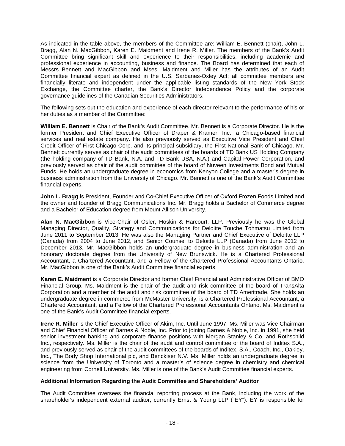As indicated in the table above, the members of the Committee are: William E. Bennett (chair), John L. Bragg, Alan N. MacGibbon, Karen E. Maidment and Irene R. Miller. The members of the Bank's Audit Committee bring significant skill and experience to their responsibilities, including academic and professional experience in accounting, business and finance. The Board has determined that each of Messrs. Bennett and MacGibbon and Mses. Maidment and Miller has the attributes of an Audit Committee financial expert as defined in the U.S. Sarbanes-Oxley Act; all committee members are financially literate and independent under the applicable listing standards of the New York Stock Exchange, the Committee charter, the Bank's Director Independence Policy and the corporate governance guidelines of the Canadian Securities Administrators.

The following sets out the education and experience of each director relevant to the performance of his or her duties as a member of the Committee:

**William E. Bennett** is Chair of the Bank's Audit Committee. Mr. Bennett is a Corporate Director. He is the former President and Chief Executive Officer of Draper & Kramer, Inc., a Chicago-based financial services and real estate company. He also previously served as Executive Vice President and Chief Credit Officer of First Chicago Corp. and its principal subsidiary, the First National Bank of Chicago. Mr. Bennett currently serves as chair of the audit committees of the boards of TD Bank US Holding Company (the holding company of TD Bank, N.A. and TD Bank USA, N.A.) and Capital Power Corporation, and previously served as chair of the audit committee of the board of Nuveen Investments Bond and Mutual Funds. He holds an undergraduate degree in economics from Kenyon College and a master's degree in business administration from the University of Chicago. Mr. Bennett is one of the Bank's Audit Committee financial experts.

**John L. Bragg** is President, Founder and Co-Chief Executive Officer of Oxford Frozen Foods Limited and the owner and founder of Bragg Communications Inc. Mr. Bragg holds a Bachelor of Commerce degree and a Bachelor of Education degree from Mount Allison University.

**Alan N. MacGibbon** is Vice-Chair of Osler, Hoskin & Harcourt, LLP. Previously he was the Global Managing Director, Quality, Strategy and Communications for Deloitte Touche Tohmatsu Limited from June 2011 to September 2013. He was also the Managing Partner and Chief Executive of Deloitte LLP (Canada) from 2004 to June 2012, and Senior Counsel to Deloitte LLP (Canada) from June 2012 to December 2013. Mr. MacGibbon holds an undergraduate degree in business administration and an honorary doctorate degree from the University of New Brunswick. He is a Chartered Professional Accountant, a Chartered Accountant, and a Fellow of the Chartered Professional Accountants Ontario. Mr. MacGibbon is one of the Bank's Audit Committee financial experts.

**Karen E. Maidment** is a Corporate Director and former Chief Financial and Administrative Officer of BMO Financial Group. Ms. Maidment is the chair of the audit and risk committee of the board of TransAlta Corporation and a member of the audit and risk committee of the board of TD Ameritrade. She holds an undergraduate degree in commerce from McMaster University, is a Chartered Professional Accountant, a Chartered Accountant, and a Fellow of the Chartered Professional Accountants Ontario. Ms. Maidment is one of the Bank's Audit Committee financial experts.

**Irene R. Miller** is the Chief Executive Officer of Akim, Inc. Until June 1997, Ms. Miller was Vice Chairman and Chief Financial Officer of Barnes & Noble, Inc. Prior to joining Barnes & Noble, Inc. in 1991, she held senior investment banking and corporate finance positions with Morgan Stanley & Co. and Rothschild Inc., respectively. Ms. Miller is the chair of the audit and control committee of the board of Inditex S.A., and previously served as chair of the audit committees of the boards of Inditex, S.A., Coach, Inc., Oakley, Inc., The Body Shop International plc, and Benckiser N.V. Ms. Miller holds an undergraduate degree in science from the University of Toronto and a master's of science degree in chemistry and chemical engineering from Cornell University. Ms. Miller is one of the Bank's Audit Committee financial experts.

#### **Additional Information Regarding the Audit Committee and Shareholders' Auditor**

The Audit Committee oversees the financial reporting process at the Bank, including the work of the shareholder's independent external auditor, currently Ernst & Young LLP ("EY"). EY is responsible for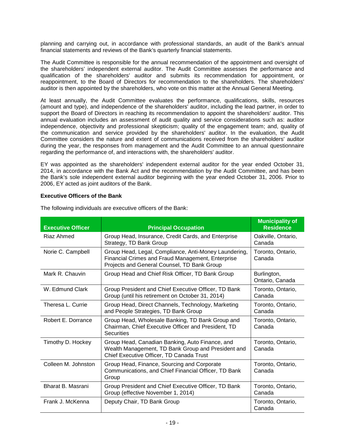planning and carrying out, in accordance with professional standards, an audit of the Bank's annual financial statements and reviews of the Bank's quarterly financial statements.

The Audit Committee is responsible for the annual recommendation of the appointment and oversight of the shareholders' independent external auditor. The Audit Committee assesses the performance and qualification of the shareholders' auditor and submits its recommendation for appointment, or reappointment, to the Board of Directors for recommendation to the shareholders. The shareholders' auditor is then appointed by the shareholders, who vote on this matter at the Annual General Meeting.

At least annually, the Audit Committee evaluates the performance, qualifications, skills, resources (amount and type), and independence of the shareholders' auditor, including the lead partner, in order to support the Board of Directors in reaching its recommendation to appoint the shareholders' auditor. This annual evaluation includes an assessment of audit quality and service considerations such as: auditor independence, objectivity and professional skepticism; quality of the engagement team; and, quality of the communication and service provided by the shareholders' auditor. In the evaluation, the Audit Committee considers the nature and extent of communications received from the shareholders' auditor during the year, the responses from management and the Audit Committee to an annual questionnaire regarding the performance of, and interactions with, the shareholders' auditor.

EY was appointed as the shareholders' independent external auditor for the year ended October 31, 2014, in accordance with the Bank Act and the recommendation by the Audit Committee, and has been the Bank's sole independent external auditor beginning with the year ended October 31, 2006. Prior to 2006, EY acted as joint auditors of the Bank.

# **Executive Officers of the Bank**

| <b>Executive Officer</b> | <b>Principal Occupation</b>                                                                                                                               | <b>Municipality of</b><br><b>Residence</b> |
|--------------------------|-----------------------------------------------------------------------------------------------------------------------------------------------------------|--------------------------------------------|
| Riaz Ahmed               | Group Head, Insurance, Credit Cards, and Enterprise<br>Strategy, TD Bank Group                                                                            | Oakville, Ontario,<br>Canada               |
| Norie C. Campbell        | Group Head, Legal, Compliance, Anti-Money Laundering,<br>Financial Crimes and Fraud Management, Enterprise<br>Projects and General Counsel, TD Bank Group | Toronto, Ontario,<br>Canada                |
| Mark R. Chauvin          | Group Head and Chief Risk Officer, TD Bank Group                                                                                                          | Burlington,<br>Ontario, Canada             |
| W. Edmund Clark          | Group President and Chief Executive Officer, TD Bank<br>Group (until his retirement on October 31, 2014)                                                  | Toronto, Ontario,<br>Canada                |
| Theresa L. Currie        | Group Head, Direct Channels, Technology, Marketing<br>and People Strategies, TD Bank Group                                                                | Toronto, Ontario,<br>Canada                |
| Robert E. Dorrance       | Group Head, Wholesale Banking, TD Bank Group and<br>Chairman, Chief Executive Officer and President, TD<br>Securities                                     | Toronto, Ontario,<br>Canada                |
| Timothy D. Hockey        | Group Head, Canadian Banking, Auto Finance, and<br>Wealth Management, TD Bank Group and President and<br>Chief Executive Officer, TD Canada Trust         | Toronto, Ontario,<br>Canada                |
| Colleen M. Johnston      | Group Head, Finance, Sourcing and Corporate<br>Communications, and Chief Financial Officer, TD Bank<br>Group                                              | Toronto, Ontario,<br>Canada                |
| Bharat B. Masrani        | Group President and Chief Executive Officer, TD Bank<br>Group (effective November 1, 2014)                                                                | Toronto, Ontario,<br>Canada                |
| Frank J. McKenna         | Deputy Chair, TD Bank Group                                                                                                                               | Toronto, Ontario,<br>Canada                |

The following individuals are executive officers of the Bank: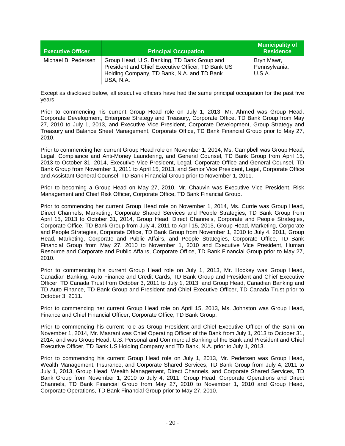| <b>Executive Officer</b> | <b>Principal Occupation</b>                                                                                                                                 | <b>Municipality of</b><br><b>Residence</b> |
|--------------------------|-------------------------------------------------------------------------------------------------------------------------------------------------------------|--------------------------------------------|
| Michael B. Pedersen      | Group Head, U.S. Banking, TD Bank Group and<br>President and Chief Executive Officer, TD Bank US<br>Holding Company, TD Bank, N.A. and TD Bank<br>USA, N.A. | Bryn Mawr,<br>Pennsylvania,<br>U.S.A.      |

Except as disclosed below, all executive officers have had the same principal occupation for the past five years.

Prior to commencing his current Group Head role on July 1, 2013, Mr. Ahmed was Group Head, Corporate Development, Enterprise Strategy and Treasury, Corporate Office, TD Bank Group from May 27, 2010 to July 1, 2013, and Executive Vice President, Corporate Development, Group Strategy and Treasury and Balance Sheet Management, Corporate Office, TD Bank Financial Group prior to May 27, 2010.

Prior to commencing her current Group Head role on November 1, 2014, Ms. Campbell was Group Head, Legal, Compliance and Anti-Money Laundering, and General Counsel, TD Bank Group from April 15, 2013 to October 31, 2014, Executive Vice President, Legal, Corporate Office and General Counsel, TD Bank Group from November 1, 2011 to April 15, 2013, and Senior Vice President, Legal, Corporate Office and Assistant General Counsel, TD Bank Financial Group prior to November 1, 2011.

Prior to becoming a Group Head on May 27, 2010, Mr. Chauvin was Executive Vice President, Risk Management and Chief Risk Officer, Corporate Office, TD Bank Financial Group.

Prior to commencing her current Group Head role on November 1, 2014, Ms. Currie was Group Head, Direct Channels, Marketing, Corporate Shared Services and People Strategies, TD Bank Group from April 15, 2013 to October 31, 2014, Group Head, Direct Channels, Corporate and People Strategies, Corporate Office, TD Bank Group from July 4, 2011 to April 15, 2013, Group Head, Marketing, Corporate and People Strategies, Corporate Office, TD Bank Group from November 1, 2010 to July 4, 2011, Group Head, Marketing, Corporate and Public Affairs, and People Strategies, Corporate Office, TD Bank Financial Group from May 27, 2010 to November 1, 2010 and Executive Vice President, Human Resource and Corporate and Public Affairs, Corporate Office, TD Bank Financial Group prior to May 27, 2010.

Prior to commencing his current Group Head role on July 1, 2013, Mr. Hockey was Group Head, Canadian Banking, Auto Finance and Credit Cards, TD Bank Group and President and Chief Executive Officer, TD Canada Trust from October 3, 2011 to July 1, 2013, and Group Head, Canadian Banking and TD Auto Finance, TD Bank Group and President and Chief Executive Officer, TD Canada Trust prior to October 3, 2011.

Prior to commencing her current Group Head role on April 15, 2013, Ms. Johnston was Group Head, Finance and Chief Financial Officer, Corporate Office, TD Bank Group.

Prior to commencing his current role as Group President and Chief Executive Officer of the Bank on November 1, 2014, Mr. Masrani was Chief Operating Officer of the Bank from July 1, 2013 to October 31, 2014, and was Group Head, U.S. Personal and Commercial Banking of the Bank and President and Chief Executive Officer, TD Bank US Holding Company and TD Bank, N.A. prior to July 1, 2013.

Prior to commencing his current Group Head role on July 1, 2013, Mr. Pedersen was Group Head, Wealth Management, Insurance, and Corporate Shared Services, TD Bank Group from July 4, 2011 to July 1, 2013, Group Head, Wealth Management, Direct Channels, and Corporate Shared Services, TD Bank Group from November 1, 2010 to July 4, 2011, Group Head, Corporate Operations and Direct Channels, TD Bank Financial Group from May 27, 2010 to November 1, 2010 and Group Head, Corporate Operations, TD Bank Financial Group prior to May 27, 2010.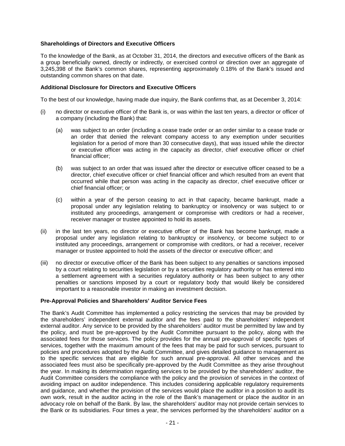## **Shareholdings of Directors and Executive Officers**

To the knowledge of the Bank, as at October 31, 2014, the directors and executive officers of the Bank as a group beneficially owned, directly or indirectly, or exercised control or direction over an aggregate of 3,245,398 of the Bank's common shares, representing approximately 0.18% of the Bank's issued and outstanding common shares on that date.

#### **Additional Disclosure for Directors and Executive Officers**

To the best of our knowledge, having made due inquiry, the Bank confirms that, as at December 3, 2014:

- (i) no director or executive officer of the Bank is, or was within the last ten years, a director or officer of a company (including the Bank) that:
	- (a) was subject to an order (including a cease trade order or an order similar to a cease trade or an order that denied the relevant company access to any exemption under securities legislation for a period of more than 30 consecutive days), that was issued while the director or executive officer was acting in the capacity as director, chief executive officer or chief financial officer;
	- (b) was subject to an order that was issued after the director or executive officer ceased to be a director, chief executive officer or chief financial officer and which resulted from an event that occurred while that person was acting in the capacity as director, chief executive officer or chief financial officer; or
	- (c) within a year of the person ceasing to act in that capacity, became bankrupt, made a proposal under any legislation relating to bankruptcy or insolvency or was subject to or instituted any proceedings, arrangement or compromise with creditors or had a receiver, receiver manager or trustee appointed to hold its assets.
- (ii) in the last ten years, no director or executive officer of the Bank has become bankrupt, made a proposal under any legislation relating to bankruptcy or insolvency, or become subject to or instituted any proceedings, arrangement or compromise with creditors, or had a receiver, receiver manager or trustee appointed to hold the assets of the director or executive officer; and
- (iii) no director or executive officer of the Bank has been subject to any penalties or sanctions imposed by a court relating to securities legislation or by a securities regulatory authority or has entered into a settlement agreement with a securities regulatory authority or has been subject to any other penalties or sanctions imposed by a court or regulatory body that would likely be considered important to a reasonable investor in making an investment decision.

#### **Pre-Approval Policies and Shareholders' Auditor Service Fees**

The Bank's Audit Committee has implemented a policy restricting the services that may be provided by the shareholders' independent external auditor and the fees paid to the shareholders' independent external auditor. Any service to be provided by the shareholders' auditor must be permitted by law and by the policy, and must be pre-approved by the Audit Committee pursuant to the policy, along with the associated fees for those services. The policy provides for the annual pre-approval of specific types of services, together with the maximum amount of the fees that may be paid for such services, pursuant to policies and procedures adopted by the Audit Committee, and gives detailed guidance to management as to the specific services that are eligible for such annual pre-approval. All other services and the associated fees must also be specifically pre-approved by the Audit Committee as they arise throughout the year. In making its determination regarding services to be provided by the shareholders' auditor, the Audit Committee considers the compliance with the policy and the provision of services in the context of avoiding impact on auditor independence. This includes considering applicable regulatory requirements and guidance, and whether the provision of the services would place the auditor in a position to audit its own work, result in the auditor acting in the role of the Bank's management or place the auditor in an advocacy role on behalf of the Bank. By law, the shareholders' auditor may not provide certain services to the Bank or its subsidiaries. Four times a year, the services performed by the shareholders' auditor on a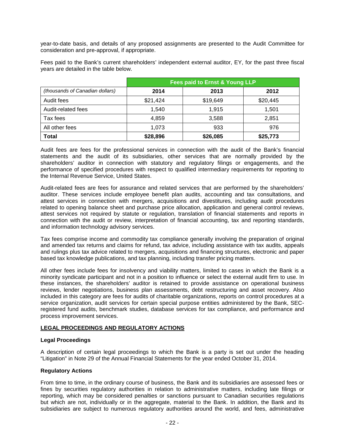year-to-date basis, and details of any proposed assignments are presented to the Audit Committee for consideration and pre-approval, if appropriate.

Fees paid to the Bank's current shareholders' independent external auditor, EY, for the past three fiscal years are detailed in the table below.

|                                 | <b>Fees paid to Ernst &amp; Young LLP</b> |          |          |
|---------------------------------|-------------------------------------------|----------|----------|
| (thousands of Canadian dollars) | 2014                                      | 2013     | 2012     |
| Audit fees                      | \$21,424                                  | \$19,649 | \$20,445 |
| Audit-related fees              | 1.540                                     | 1,915    | 1.501    |
| Tax fees                        | 4,859                                     | 3,588    | 2,851    |
| All other fees                  | 1.073                                     | 933      | 976      |
| <b>Total</b>                    | \$28,896                                  | \$26,085 | \$25,773 |

Audit fees are fees for the professional services in connection with the audit of the Bank's financial statements and the audit of its subsidiaries, other services that are normally provided by the shareholders' auditor in connection with statutory and regulatory filings or engagements, and the performance of specified procedures with respect to qualified intermediary requirements for reporting to the Internal Revenue Service, United States.

Audit-related fees are fees for assurance and related services that are performed by the shareholders' auditor. These services include employee benefit plan audits, accounting and tax consultations, and attest services in connection with mergers, acquisitions and divestitures, including audit procedures related to opening balance sheet and purchase price allocation, application and general control reviews, attest services not required by statute or regulation, translation of financial statements and reports in connection with the audit or review, interpretation of financial accounting, tax and reporting standards, and information technology advisory services.

Tax fees comprise income and commodity tax compliance generally involving the preparation of original and amended tax returns and claims for refund, tax advice, including assistance with tax audits, appeals and rulings plus tax advice related to mergers, acquisitions and financing structures, electronic and paper based tax knowledge publications, and tax planning, including transfer pricing matters.

All other fees include fees for insolvency and viability matters, limited to cases in which the Bank is a minority syndicate participant and not in a position to influence or select the external audit firm to use. In these instances, the shareholders' auditor is retained to provide assistance on operational business reviews, lender negotiations, business plan assessments, debt restructuring and asset recovery. Also included in this category are fees for audits of charitable organizations, reports on control procedures at a service organization, audit services for certain special purpose entities administered by the Bank, SECregistered fund audits, benchmark studies, database services for tax compliance, and performance and process improvement services.

# **LEGAL PROCEEDINGS AND REGULATORY ACTIONS**

#### **Legal Proceedings**

A description of certain legal proceedings to which the Bank is a party is set out under the heading "Litigation" in Note 29 of the Annual Financial Statements for the year ended October 31, 2014.

# **Regulatory Actions**

From time to time, in the ordinary course of business, the Bank and its subsidiaries are assessed fees or fines by securities regulatory authorities in relation to administrative matters, including late filings or reporting, which may be considered penalties or sanctions pursuant to Canadian securities regulations but which are not, individually or in the aggregate, material to the Bank. In addition, the Bank and its subsidiaries are subject to numerous regulatory authorities around the world, and fees, administrative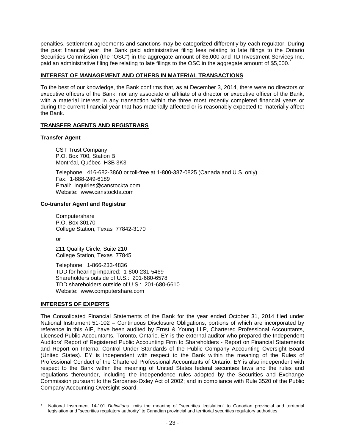penalties, settlement agreements and sanctions may be categorized differently by each regulator. During the past financial year, the Bank paid administrative filing fees relating to late filings to the Ontario Securities Commission (the "OSC") in the aggregate amount of \$6,000 and TD Investment Services Inc. paid an administrative filing fee relating to late filings to the OSC in the aggregate amount of \$5,000.

## **INTEREST OF MANAGEMENT AND OTHERS IN MATERIAL TRANSACTIONS**

To the best of our knowledge, the Bank confirms that, as at December 3, 2014, there were no directors or executive officers of the Bank, nor any associate or affiliate of a director or executive officer of the Bank, with a material interest in any transaction within the three most recently completed financial years or during the current financial year that has materially affected or is reasonably expected to materially affect the Bank.

## **TRANSFER AGENTS AND REGISTRARS**

#### **Transfer Agent**

CST Trust Company P.O. Box 700, Station B Montréal, Québec H3B 3K3

Telephone: 416-682-3860 or toll-free at 1-800-387-0825 (Canada and U.S. only) Fax: 1-888-249-6189 Email: inquiries@canstockta.com Website: www.canstockta.com

#### **Co-transfer Agent and Registrar**

Computershare P.O. Box 30170 College Station, Texas 77842-3170

or

211 Quality Circle, Suite 210 College Station, Texas 77845

Telephone: 1-866-233-4836 TDD for hearing impaired: 1-800-231-5469 Shareholders outside of U.S.: 201-680-6578 TDD shareholders outside of U.S.: 201-680-6610 Website: www.computershare.com

#### **INTERESTS OF EXPERTS**

The Consolidated Financial Statements of the Bank for the year ended October 31, 2014 filed under National Instrument 51-102 – Continuous Disclosure Obligations, portions of which are incorporated by reference in this AIF, have been audited by Ernst & Young LLP, Chartered Professional Accountants, Licensed Public Accountants, Toronto, Ontario. EY is the external auditor who prepared the Independent Auditors' Report of Registered Public Accounting Firm to Shareholders - Report on Financial Statements and Report on Internal Control Under Standards of the Public Company Accounting Oversight Board (United States). EY is independent with respect to the Bank within the meaning of the Rules of Professional Conduct of the Chartered Professional Accountants of Ontario. EY is also independent with respect to the Bank within the meaning of United States federal securities laws and the rules and regulations thereunder, including the independence rules adopted by the Securities and Exchange Commission pursuant to the Sarbanes-Oxley Act of 2002; and in compliance with Rule 3520 of the Public Company Accounting Oversight Board.

National Instrument 14-101 *Definitions* limits the meaning of "securities legislation" to Canadian provincial and territorial legislation and "securities regulatory authority" to Canadian provincial and territorial securities regulatory authorities.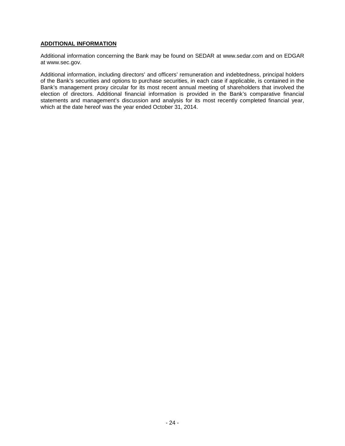# **ADDITIONAL INFORMATION**

Additional information concerning the Bank may be found on SEDAR at www.sedar.com and on EDGAR at www.sec.gov.

Additional information, including directors' and officers' remuneration and indebtedness, principal holders of the Bank's securities and options to purchase securities, in each case if applicable, is contained in the Bank's management proxy circular for its most recent annual meeting of shareholders that involved the election of directors. Additional financial information is provided in the Bank's comparative financial statements and management's discussion and analysis for its most recently completed financial year, which at the date hereof was the year ended October 31, 2014.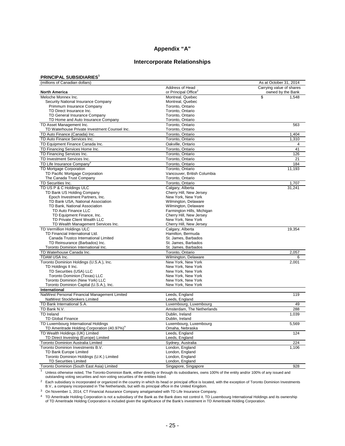# **Appendix "A"**

## **Intercorporate Relationships**

#### **PRINCIPAL SUBSIDIARIES<sup>1</sup>**

| (millions of Canadian dollars)                          |                                  | As at October 31, 2014   |
|---------------------------------------------------------|----------------------------------|--------------------------|
|                                                         | Address of Head                  | Carrying value of shares |
| <b>North America</b>                                    | or Principal Office <sup>2</sup> | owned by the Bank        |
| Meloche Monnex Inc.                                     | Montreal, Quebec                 | \$<br>1.548              |
| Security National Insurance Company                     | Montreal, Quebec                 |                          |
| Primmum Insurance Company                               | Toronto, Ontario                 |                          |
| TD Direct Insurance Inc.                                | Toronto, Ontario                 |                          |
| TD General Insurance Company                            | Toronto, Ontario                 |                          |
| TD Home and Auto Insurance Company                      | Toronto, Ontario                 |                          |
| TD Asset Management Inc.                                | Toronto. Ontario                 | 563                      |
| TD Waterhouse Private Investment Counsel Inc.           | Toronto, Ontario                 |                          |
| TD Auto Finance (Canada) Inc.                           | Toronto, Ontario                 | 1,404                    |
| TD Auto Finance Services Inc.                           | Toronto, Ontario                 | 1,310                    |
| TD Equipment Finance Canada Inc.                        | Oakville, Ontario                | 4                        |
| TD Financing Services Home Inc.                         | Toronto, Ontario                 | 41                       |
|                                                         |                                  |                          |
| TD Financing Services Inc.                              | Toronto, Ontario                 | 126                      |
| TD Investment Services Inc.                             | Toronto, Ontario                 | 21                       |
| TD Life Insurance Company <sup>3</sup>                  | Toronto, Ontario                 | 184                      |
| TD Mortgage Corporation                                 | Toronto, Ontario                 | 11,193                   |
| TD Pacific Mortgage Corporation                         | Vancouver, British Columbia      |                          |
| The Canada Trust Company                                | Toronto, Ontario                 |                          |
| TD Securities Inc.                                      | Toronto, Ontario                 | 1,707                    |
| TD US P & C Holdings ULC                                | Calgary, Alberta                 | 31,241                   |
| TD Bank US Holding Company                              | Cherry Hill, New Jersey          |                          |
| Epoch Investment Partners, Inc.                         | New York, New York               |                          |
| TD Bank USA, National Association                       | Wilmington, Delaware             |                          |
| TD Bank, National Association                           | Wilmington, Delaware             |                          |
| TD Auto Finance LLC                                     | Farmington Hills, Michigan       |                          |
| TD Equipment Finance, Inc.                              | Cherry Hill, New Jersey          |                          |
| TD Private Client Wealth LLC                            | New York, New York               |                          |
| TD Wealth Management Services Inc.                      | Cherry Hill, New Jersey          |                          |
| TD Vermillion Holdings ULC                              | Calgary, Alberta                 | 19,354                   |
| TD Financial International Ltd.                         | Hamilton, Bermuda                |                          |
| Canada Trustco International Limited                    | St. James, Barbados              |                          |
| TD Reinsurance (Barbados) Inc.                          | St. James, Barbados              |                          |
| Toronto Dominion International Inc.                     | St. James, Barbados              |                          |
| TD Waterhouse Canada Inc.                               | Toronto, Ontario                 | 2,057                    |
| TDAM USA Inc.                                           | Wilmington, Delaware             | 6                        |
| Toronto Dominion Holdings (U.S.A.), Inc.                | New York, New York               | 2,001                    |
| TD Holdings II Inc.                                     | New York, New York               |                          |
| TD Securities (USA) LLC                                 | New York, New York               |                          |
| Toronto Dominion (Texas) LLC                            | New York, New York               |                          |
| Toronto Dominion (New York) LLC                         | New York, New York               |                          |
| Toronto Dominion Capital (U.S.A.), Inc.                 | New York, New York               |                          |
| International                                           |                                  |                          |
| NatWest Personal Financial Management Limited           | Leeds, England                   | 119                      |
| NatWest Stockbrokers Limited                            | Leeds, England                   |                          |
| TD Bank International S.A.                              | Luxembourg, Luxembourg           | 49                       |
| TD Bank N.V.                                            | Amsterdam, The Netherlands       | 288                      |
| <b>TD</b> Ireland                                       |                                  |                          |
|                                                         | Dublin, Ireland                  | 1,039                    |
| <b>TD Global Finance</b>                                | Dublin, Ireland                  |                          |
| TD Luxembourg International Holdings                    | Luxembourg, Luxembourg           | 5,569                    |
| TD Ameritrade Holding Corporation (40.97%) <sup>4</sup> | Omaha, Nebraska                  |                          |
| TD Wealth Holdings (UK) Limited                         | Leeds, England                   | 124                      |
| TD Direct Investing (Europe) Limited                    | Leeds, England                   |                          |
| <b>Toronto Dominion Australia Limited</b>               | Sydney, Australia                | 224                      |
| Toronto Dominion Investments B.V.                       | London, England                  | 1.106                    |
| TD Bank Europe Limited                                  | London, England                  |                          |
| Toronto Dominion Holdings (U.K.) Limited                | London, England                  |                          |
| TD Securities Limited                                   | London, England                  |                          |
| Toronto Dominion (South East Asia) Limited              | Singapore, Singapore             | 928                      |

<sup>1</sup> Unless otherwise noted, The Toronto-Dominion Bank, either directly or through its subsidiaries, owns 100% of the entity and/or 100% of any issued and<br>outstanding voting securities and non-voting securities of the entit

<sup>2</sup> Each subsidiary is incorporated or organized in the country in which its head or principal office is located, with the exception of Toronto Dominion Investments B.V., a company incorporated in The Netherlands, but with its principal office in the United Kingdom.

<sup>3</sup> On November 1, 2014, CT Financial Assurance Company amalgamated with TD Life Insurance Company.

TD Ameritrade Holding Corporation is not a subsidiary of the Bank as the Bank does not control it. TD Luxembourg International Holdings and its ownership<br>of TD Ameritrade Holding Corporation is included given the significa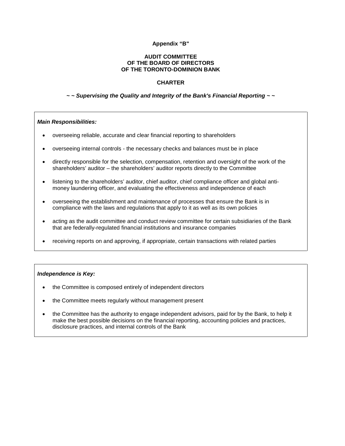## **Appendix "B"**

#### **AUDIT COMMITTEE OF THE BOARD OF DIRECTORS OF THE TORONTO-DOMINION BANK**

#### **CHARTER**

#### *~ ~ Supervising the Quality and Integrity of the Bank's Financial Reporting ~ ~*

#### *Main Responsibilities:*

- overseeing reliable, accurate and clear financial reporting to shareholders
- overseeing internal controls the necessary checks and balances must be in place
- directly responsible for the selection, compensation, retention and oversight of the work of the shareholders' auditor – the shareholders' auditor reports directly to the Committee
- listening to the shareholders' auditor, chief auditor, chief compliance officer and global antimoney laundering officer, and evaluating the effectiveness and independence of each
- overseeing the establishment and maintenance of processes that ensure the Bank is in compliance with the laws and regulations that apply to it as well as its own policies
- acting as the audit committee and conduct review committee for certain subsidiaries of the Bank that are federally-regulated financial institutions and insurance companies
- receiving reports on and approving, if appropriate, certain transactions with related parties

#### *Independence is Key:*

- the Committee is composed entirely of independent directors
- the Committee meets regularly without management present
- the Committee has the authority to engage independent advisors, paid for by the Bank, to help it make the best possible decisions on the financial reporting, accounting policies and practices, disclosure practices, and internal controls of the Bank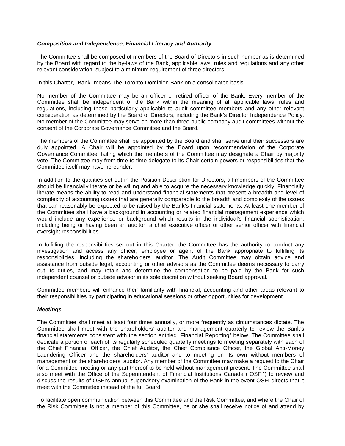## *Composition and Independence, Financial Literacy and Authority*

The Committee shall be composed of members of the Board of Directors in such number as is determined by the Board with regard to the by-laws of the Bank, applicable laws, rules and regulations and any other relevant consideration, subject to a minimum requirement of three directors.

In this Charter, "Bank" means The Toronto-Dominion Bank on a consolidated basis.

No member of the Committee may be an officer or retired officer of the Bank. Every member of the Committee shall be independent of the Bank within the meaning of all applicable laws, rules and regulations, including those particularly applicable to audit committee members and any other relevant consideration as determined by the Board of Directors, including the Bank's Director Independence Policy. No member of the Committee may serve on more than three public company audit committees without the consent of the Corporate Governance Committee and the Board.

The members of the Committee shall be appointed by the Board and shall serve until their successors are duly appointed. A Chair will be appointed by the Board upon recommendation of the Corporate Governance Committee, failing which the members of the Committee may designate a Chair by majority vote. The Committee may from time to time delegate to its Chair certain powers or responsibilities that the Committee itself may have hereunder.

In addition to the qualities set out in the Position Description for Directors, all members of the Committee should be financially literate or be willing and able to acquire the necessary knowledge quickly. Financially literate means the ability to read and understand financial statements that present a breadth and level of complexity of accounting issues that are generally comparable to the breadth and complexity of the issues that can reasonably be expected to be raised by the Bank's financial statements. At least one member of the Committee shall have a background in accounting or related financial management experience which would include any experience or background which results in the individual's financial sophistication, including being or having been an auditor, a chief executive officer or other senior officer with financial oversight responsibilities.

In fulfilling the responsibilities set out in this Charter, the Committee has the authority to conduct any investigation and access any officer, employee or agent of the Bank appropriate to fulfilling its responsibilities, including the shareholders' auditor. The Audit Committee may obtain advice and assistance from outside legal, accounting or other advisors as the Committee deems necessary to carry out its duties, and may retain and determine the compensation to be paid by the Bank for such independent counsel or outside advisor in its sole discretion without seeking Board approval.

Committee members will enhance their familiarity with financial, accounting and other areas relevant to their responsibilities by participating in educational sessions or other opportunities for development.

#### *Meetings*

The Committee shall meet at least four times annually, or more frequently as circumstances dictate. The Committee shall meet with the shareholders' auditor and management quarterly to review the Bank's financial statements consistent with the section entitled "Financial Reporting" below. The Committee shall dedicate a portion of each of its regularly scheduled quarterly meetings to meeting separately with each of the Chief Financial Officer, the Chief Auditor, the Chief Compliance Officer, the Global Anti-Money Laundering Officer and the shareholders' auditor and to meeting on its own without members of management or the shareholders' auditor. Any member of the Committee may make a request to the Chair for a Committee meeting or any part thereof to be held without management present. The Committee shall also meet with the Office of the Superintendent of Financial Institutions Canada ("OSFI") to review and discuss the results of OSFI's annual supervisory examination of the Bank in the event OSFI directs that it meet with the Committee instead of the full Board.

To facilitate open communication between this Committee and the Risk Committee, and where the Chair of the Risk Committee is not a member of this Committee, he or she shall receive notice of and attend by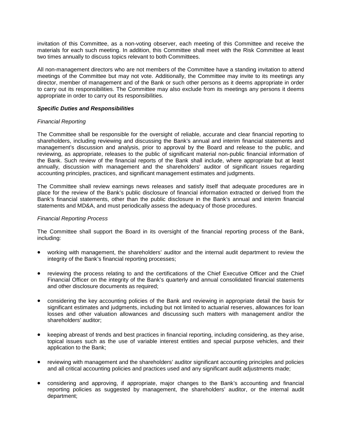invitation of this Committee, as a non-voting observer, each meeting of this Committee and receive the materials for each such meeting. In addition, this Committee shall meet with the Risk Committee at least two times annually to discuss topics relevant to both Committees.

All non-management directors who are not members of the Committee have a standing invitation to attend meetings of the Committee but may not vote. Additionally, the Committee may invite to its meetings any director, member of management and of the Bank or such other persons as it deems appropriate in order to carry out its responsibilities. The Committee may also exclude from its meetings any persons it deems appropriate in order to carry out its responsibilities.

#### *Specific Duties and Responsibilities*

## *Financial Reporting*

The Committee shall be responsible for the oversight of reliable, accurate and clear financial reporting to shareholders, including reviewing and discussing the Bank's annual and interim financial statements and management's discussion and analysis, prior to approval by the Board and release to the public, and reviewing, as appropriate, releases to the public of significant material non-public financial information of the Bank. Such review of the financial reports of the Bank shall include, where appropriate but at least annually, discussion with management and the shareholders' auditor of significant issues regarding accounting principles, practices, and significant management estimates and judgments.

The Committee shall review earnings news releases and satisfy itself that adequate procedures are in place for the review of the Bank's public disclosure of financial information extracted or derived from the Bank's financial statements, other than the public disclosure in the Bank's annual and interim financial statements and MD&A, and must periodically assess the adequacy of those procedures.

## *Financial Reporting Process*

The Committee shall support the Board in its oversight of the financial reporting process of the Bank, including:

- working with management, the shareholders' auditor and the internal audit department to review the integrity of the Bank's financial reporting processes;
- reviewing the process relating to and the certifications of the Chief Executive Officer and the Chief Financial Officer on the integrity of the Bank's quarterly and annual consolidated financial statements and other disclosure documents as required;
- considering the key accounting policies of the Bank and reviewing in appropriate detail the basis for significant estimates and judgments, including but not limited to actuarial reserves, allowances for loan losses and other valuation allowances and discussing such matters with management and/or the shareholders' auditor;
- keeping abreast of trends and best practices in financial reporting, including considering, as they arise, topical issues such as the use of variable interest entities and special purpose vehicles, and their application to the Bank;
- reviewing with management and the shareholders' auditor significant accounting principles and policies and all critical accounting policies and practices used and any significant audit adjustments made;
- considering and approving, if appropriate, major changes to the Bank's accounting and financial reporting policies as suggested by management, the shareholders' auditor, or the internal audit department;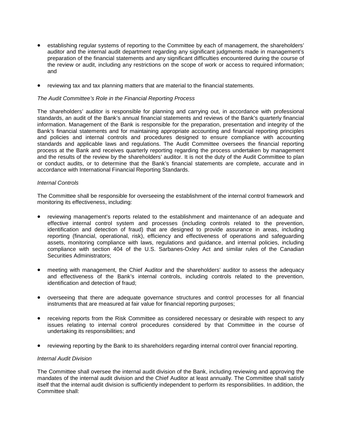- establishing regular systems of reporting to the Committee by each of management, the shareholders' auditor and the internal audit department regarding any significant judgments made in management's preparation of the financial statements and any significant difficulties encountered during the course of the review or audit, including any restrictions on the scope of work or access to required information; and
- reviewing tax and tax planning matters that are material to the financial statements.

#### *The Audit Committee's Role in the Financial Reporting Process*

The shareholders' auditor is responsible for planning and carrying out, in accordance with professional standards, an audit of the Bank's annual financial statements and reviews of the Bank's quarterly financial information. Management of the Bank is responsible for the preparation, presentation and integrity of the Bank's financial statements and for maintaining appropriate accounting and financial reporting principles and policies and internal controls and procedures designed to ensure compliance with accounting standards and applicable laws and regulations. The Audit Committee oversees the financial reporting process at the Bank and receives quarterly reporting regarding the process undertaken by management and the results of the review by the shareholders' auditor. It is not the duty of the Audit Committee to plan or conduct audits, or to determine that the Bank's financial statements are complete, accurate and in accordance with International Financial Reporting Standards.

#### *Internal Controls*

The Committee shall be responsible for overseeing the establishment of the internal control framework and monitoring its effectiveness, including:

- reviewing management's reports related to the establishment and maintenance of an adequate and effective internal control system and processes (including controls related to the prevention, identification and detection of fraud) that are designed to provide assurance in areas, including reporting (financial, operational, risk), efficiency and effectiveness of operations and safeguarding assets, monitoring compliance with laws, regulations and guidance, and internal policies, including compliance with section 404 of the U.S. Sarbanes-Oxley Act and similar rules of the Canadian Securities Administrators;
- meeting with management, the Chief Auditor and the shareholders' auditor to assess the adequacy and effectiveness of the Bank's internal controls, including controls related to the prevention, identification and detection of fraud;
- overseeing that there are adequate governance structures and control processes for all financial instruments that are measured at fair value for financial reporting purposes;
- receiving reports from the Risk Committee as considered necessary or desirable with respect to any issues relating to internal control procedures considered by that Committee in the course of undertaking its responsibilities; and
- reviewing reporting by the Bank to its shareholders regarding internal control over financial reporting.

## *Internal Audit Division*

The Committee shall oversee the internal audit division of the Bank, including reviewing and approving the mandates of the internal audit division and the Chief Auditor at least annually. The Committee shall satisfy itself that the internal audit division is sufficiently independent to perform its responsibilities. In addition, the Committee shall: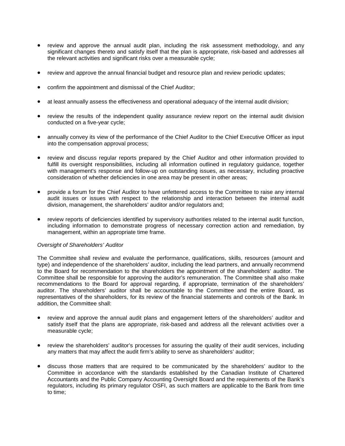- review and approve the annual audit plan, including the risk assessment methodology, and any significant changes thereto and satisfy itself that the plan is appropriate, risk-based and addresses all the relevant activities and significant risks over a measurable cycle;
- review and approve the annual financial budget and resource plan and review periodic updates;
- confirm the appointment and dismissal of the Chief Auditor;
- at least annually assess the effectiveness and operational adequacy of the internal audit division;
- review the results of the independent quality assurance review report on the internal audit division conducted on a five-year cycle;
- annually convey its view of the performance of the Chief Auditor to the Chief Executive Officer as input into the compensation approval process;
- review and discuss regular reports prepared by the Chief Auditor and other information provided to fulfill its oversight responsibilities, including all information outlined in regulatory guidance, together with management's response and follow-up on outstanding issues, as necessary, including proactive consideration of whether deficiencies in one area may be present in other areas;
- provide a forum for the Chief Auditor to have unfettered access to the Committee to raise any internal audit issues or issues with respect to the relationship and interaction between the internal audit division, management, the shareholders' auditor and/or regulators and;
- review reports of deficiencies identified by supervisory authorities related to the internal audit function, including information to demonstrate progress of necessary correction action and remediation, by management, within an appropriate time frame.

#### *Oversight of Shareholders' Auditor*

The Committee shall review and evaluate the performance, qualifications, skills, resources (amount and type) and independence of the shareholders' auditor, including the lead partners, and annually recommend to the Board for recommendation to the shareholders the appointment of the shareholders' auditor. The Committee shall be responsible for approving the auditor's remuneration. The Committee shall also make recommendations to the Board for approval regarding, if appropriate, termination of the shareholders' auditor. The shareholders' auditor shall be accountable to the Committee and the entire Board, as representatives of the shareholders, for its review of the financial statements and controls of the Bank. In addition, the Committee shall:

- review and approve the annual audit plans and engagement letters of the shareholders' auditor and satisfy itself that the plans are appropriate, risk-based and address all the relevant activities over a measurable cycle;
- review the shareholders' auditor's processes for assuring the quality of their audit services, including any matters that may affect the audit firm's ability to serve as shareholders' auditor;
- discuss those matters that are required to be communicated by the shareholders' auditor to the Committee in accordance with the standards established by the Canadian Institute of Chartered Accountants and the Public Company Accounting Oversight Board and the requirements of the Bank's regulators, including its primary regulator OSFI, as such matters are applicable to the Bank from time to time;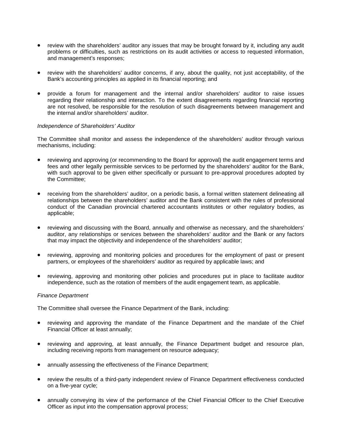- review with the shareholders' auditor any issues that may be brought forward by it, including any audit problems or difficulties, such as restrictions on its audit activities or access to requested information, and management's responses;
- review with the shareholders' auditor concerns, if any, about the quality, not just acceptability, of the Bank's accounting principles as applied in its financial reporting; and
- provide a forum for management and the internal and/or shareholders' auditor to raise issues regarding their relationship and interaction. To the extent disagreements regarding financial reporting are not resolved, be responsible for the resolution of such disagreements between management and the internal and/or shareholders' auditor.

#### *Independence of Shareholders' Auditor*

The Committee shall monitor and assess the independence of the shareholders' auditor through various mechanisms, including:

- reviewing and approving (or recommending to the Board for approval) the audit engagement terms and fees and other legally permissible services to be performed by the shareholders' auditor for the Bank, with such approval to be given either specifically or pursuant to pre-approval procedures adopted by the Committee;
- receiving from the shareholders' auditor, on a periodic basis, a formal written statement delineating all relationships between the shareholders' auditor and the Bank consistent with the rules of professional conduct of the Canadian provincial chartered accountants institutes or other regulatory bodies, as applicable;
- reviewing and discussing with the Board, annually and otherwise as necessary, and the shareholders' auditor, any relationships or services between the shareholders' auditor and the Bank or any factors that may impact the objectivity and independence of the shareholders' auditor;
- reviewing, approving and monitoring policies and procedures for the employment of past or present partners, or employees of the shareholders' auditor as required by applicable laws; and
- reviewing, approving and monitoring other policies and procedures put in place to facilitate auditor independence, such as the rotation of members of the audit engagement team, as applicable.

#### *Finance Department*

The Committee shall oversee the Finance Department of the Bank, including:

- reviewing and approving the mandate of the Finance Department and the mandate of the Chief Financial Officer at least annually;
- reviewing and approving, at least annually, the Finance Department budget and resource plan, including receiving reports from management on resource adequacy;
- annually assessing the effectiveness of the Finance Department;
- review the results of a third-party independent review of Finance Department effectiveness conducted on a five-year cycle;
- annually conveying its view of the performance of the Chief Financial Officer to the Chief Executive Officer as input into the compensation approval process;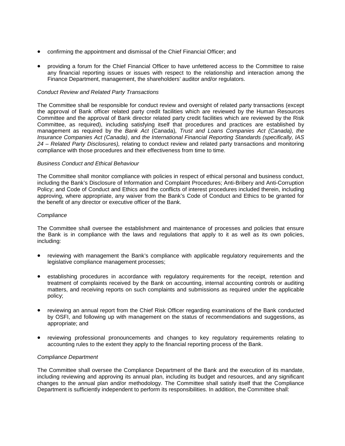- confirming the appointment and dismissal of the Chief Financial Officer; and
- providing a forum for the Chief Financial Officer to have unfettered access to the Committee to raise any financial reporting issues or issues with respect to the relationship and interaction among the Finance Department, management, the shareholders' auditor and/or regulators.

#### *Conduct Review and Related Party Transactions*

The Committee shall be responsible for conduct review and oversight of related party transactions (except the approval of Bank officer related party credit facilities which are reviewed by the Human Resources Committee and the approval of Bank director related party credit facilities which are reviewed by the Risk Committee, as required), including satisfying itself that procedures and practices are established by management as required by the *Bank Act* (Canada)*, Trust and Loans Companies Act (Canada), the Insurance Companies Act (Canada)*, and *the International Financial Reporting Standards (specifically, IAS 24 – Related Party Disclosures),* relating to conduct review and related party transactions and monitoring compliance with those procedures and their effectiveness from time to time.

#### *Business Conduct and Ethical Behaviour*

The Committee shall monitor compliance with policies in respect of ethical personal and business conduct, including the Bank's Disclosure of Information and Complaint Procedures; Anti-Bribery and Anti-Corruption Policy; and Code of Conduct and Ethics and the conflicts of interest procedures included therein, including approving, where appropriate, any waiver from the Bank's Code of Conduct and Ethics to be granted for the benefit of any director or executive officer of the Bank.

#### *Compliance*

The Committee shall oversee the establishment and maintenance of processes and policies that ensure the Bank is in compliance with the laws and regulations that apply to it as well as its own policies, including:

- reviewing with management the Bank's compliance with applicable regulatory requirements and the legislative compliance management processes;
- establishing procedures in accordance with regulatory requirements for the receipt, retention and treatment of complaints received by the Bank on accounting, internal accounting controls or auditing matters, and receiving reports on such complaints and submissions as required under the applicable policy;
- reviewing an annual report from the Chief Risk Officer regarding examinations of the Bank conducted by OSFI, and following up with management on the status of recommendations and suggestions, as appropriate; and
- reviewing professional pronouncements and changes to key regulatory requirements relating to accounting rules to the extent they apply to the financial reporting process of the Bank.

#### *Compliance Department*

The Committee shall oversee the Compliance Department of the Bank and the execution of its mandate, including reviewing and approving its annual plan, including its budget and resources, and any significant changes to the annual plan and/or methodology. The Committee shall satisfy itself that the Compliance Department is sufficiently independent to perform its responsibilities. In addition, the Committee shall: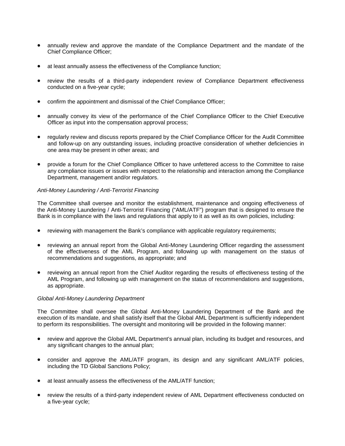- annually review and approve the mandate of the Compliance Department and the mandate of the Chief Compliance Officer;
- at least annually assess the effectiveness of the Compliance function;
- review the results of a third-party independent review of Compliance Department effectiveness conducted on a five-year cycle;
- confirm the appointment and dismissal of the Chief Compliance Officer;
- annually convey its view of the performance of the Chief Compliance Officer to the Chief Executive Officer as input into the compensation approval process;
- regularly review and discuss reports prepared by the Chief Compliance Officer for the Audit Committee and follow-up on any outstanding issues, including proactive consideration of whether deficiencies in one area may be present in other areas; and
- provide a forum for the Chief Compliance Officer to have unfettered access to the Committee to raise any compliance issues or issues with respect to the relationship and interaction among the Compliance Department, management and/or regulators.

#### *Anti-Money Laundering / Anti-Terrorist Financing*

The Committee shall oversee and monitor the establishment, maintenance and ongoing effectiveness of the Anti-Money Laundering / Anti-Terrorist Financing ("AML/ATF") program that is designed to ensure the Bank is in compliance with the laws and regulations that apply to it as well as its own policies, including:

- reviewing with management the Bank's compliance with applicable regulatory requirements;
- reviewing an annual report from the Global Anti-Money Laundering Officer regarding the assessment of the effectiveness of the AML Program, and following up with management on the status of recommendations and suggestions, as appropriate; and
- reviewing an annual report from the Chief Auditor regarding the results of effectiveness testing of the AML Program, and following up with management on the status of recommendations and suggestions, as appropriate.

#### *Global Anti-Money Laundering Department*

The Committee shall oversee the Global Anti-Money Laundering Department of the Bank and the execution of its mandate, and shall satisfy itself that the Global AML Department is sufficiently independent to perform its responsibilities. The oversight and monitoring will be provided in the following manner:

- review and approve the Global AML Department's annual plan, including its budget and resources, and any significant changes to the annual plan;
- consider and approve the AML/ATF program, its design and any significant AML/ATF policies, including the TD Global Sanctions Policy;
- at least annually assess the effectiveness of the AML/ATF function;
- review the results of a third-party independent review of AML Department effectiveness conducted on a five-year cycle;